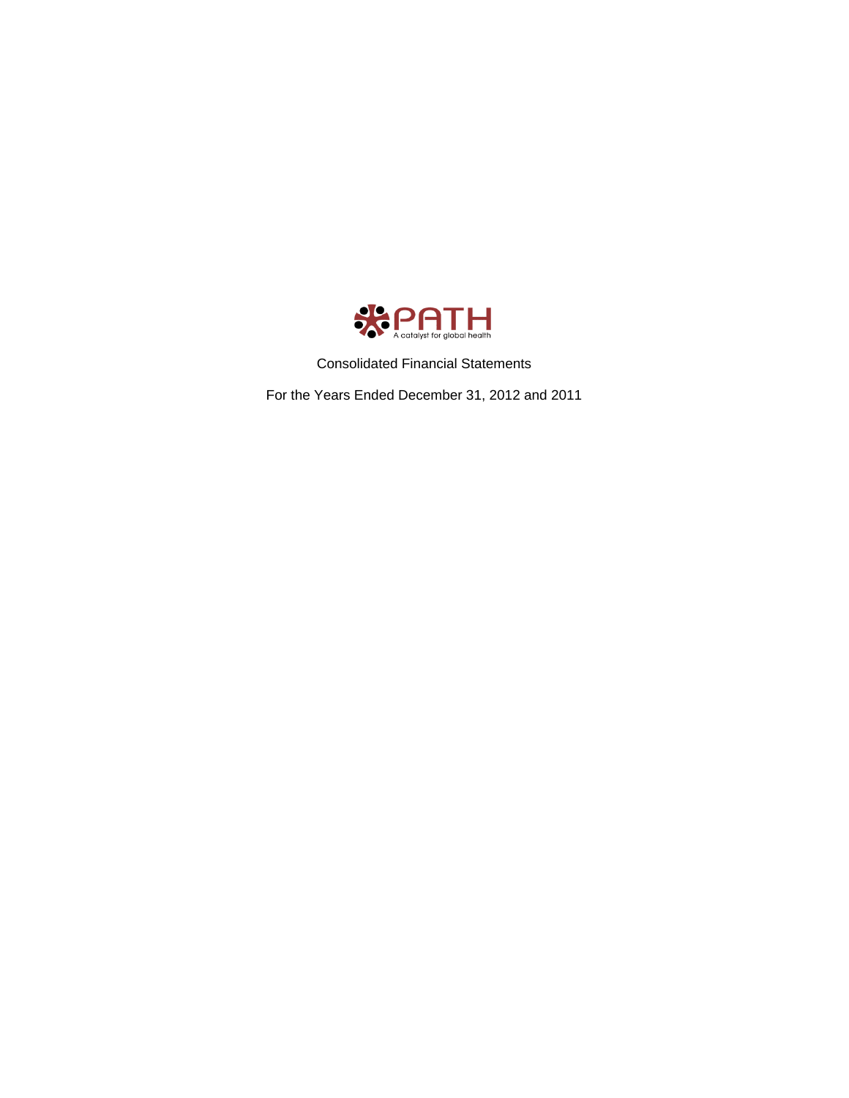

Consolidated Financial Statements

For the Years Ended December 31, 2012 and 2011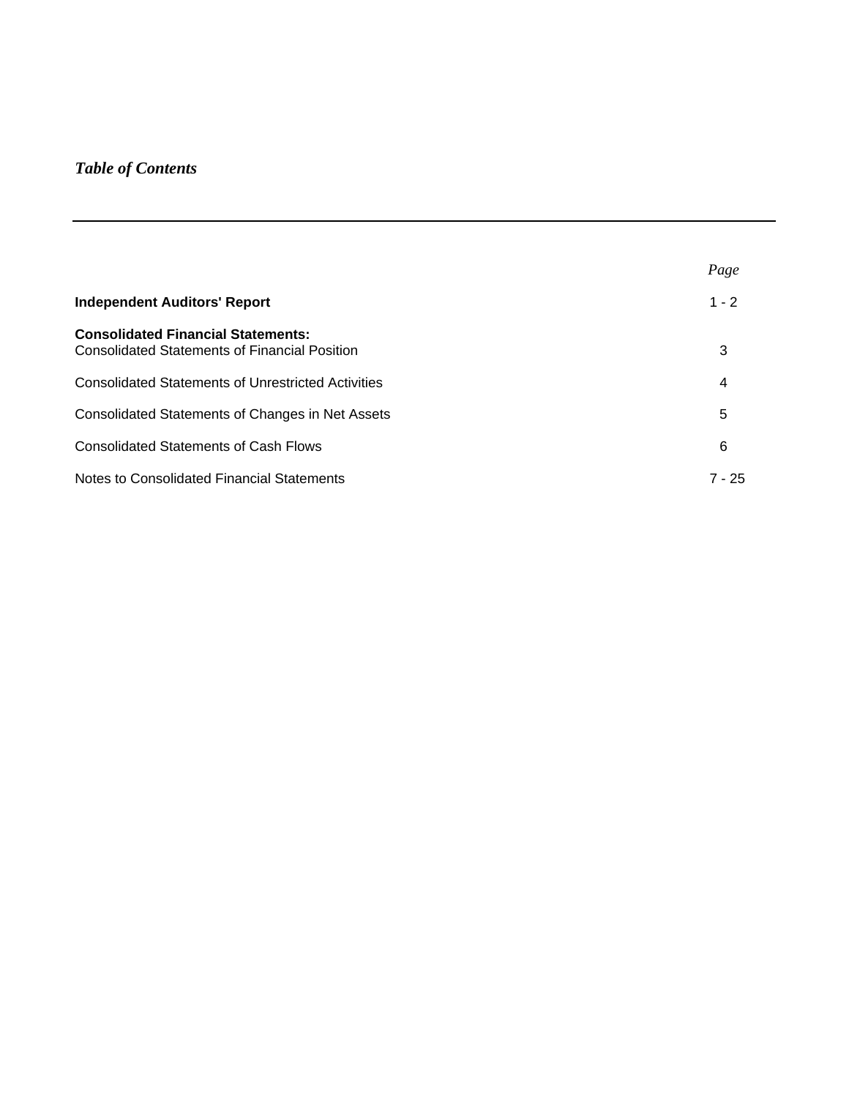## *Table of Contents*

|                                                                                                   | Page     |
|---------------------------------------------------------------------------------------------------|----------|
| <b>Independent Auditors' Report</b>                                                               | $1 - 2$  |
| <b>Consolidated Financial Statements:</b><br><b>Consolidated Statements of Financial Position</b> | 3        |
| <b>Consolidated Statements of Unrestricted Activities</b>                                         | 4        |
| Consolidated Statements of Changes in Net Assets                                                  | 5        |
| <b>Consolidated Statements of Cash Flows</b>                                                      | 6        |
| Notes to Consolidated Financial Statements                                                        | $7 - 25$ |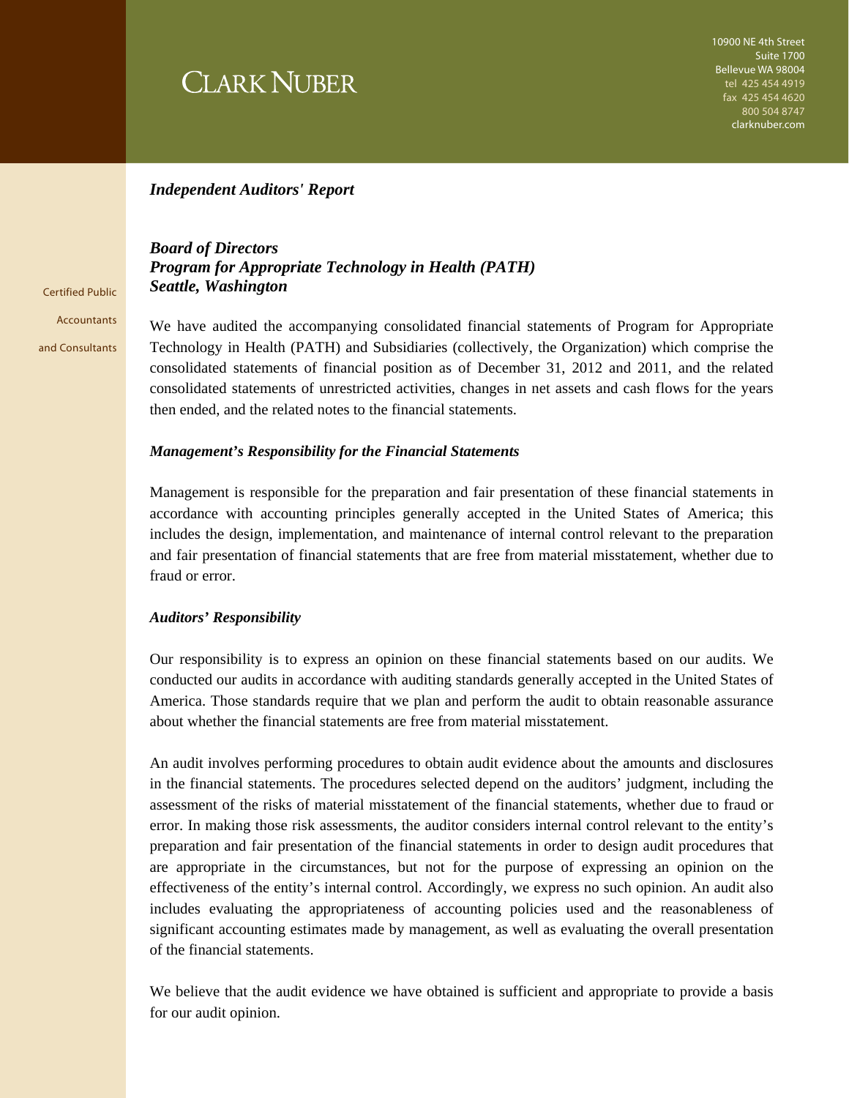## **CLARK NUBER**

#### *Independent Auditors' Report*

*Board of Directors Program for Appropriate Technology in Health (PATH) Seattle, Washington* 

We have audited the accompanying consolidated financial statements of Program for Appropriate Technology in Health (PATH) and Subsidiaries (collectively, the Organization) which comprise the consolidated statements of financial position as of December 31, 2012 and 2011, and the related consolidated statements of unrestricted activities, changes in net assets and cash flows for the years then ended, and the related notes to the financial statements.

#### *Management's Responsibility for the Financial Statements*

Management is responsible for the preparation and fair presentation of these financial statements in accordance with accounting principles generally accepted in the United States of America; this includes the design, implementation, and maintenance of internal control relevant to the preparation and fair presentation of financial statements that are free from material misstatement, whether due to fraud or error.

#### *Auditors' Responsibility*

Our responsibility is to express an opinion on these financial statements based on our audits. We conducted our audits in accordance with auditing standards generally accepted in the United States of America. Those standards require that we plan and perform the audit to obtain reasonable assurance about whether the financial statements are free from material misstatement.

An audit involves performing procedures to obtain audit evidence about the amounts and disclosures in the financial statements. The procedures selected depend on the auditors' judgment, including the assessment of the risks of material misstatement of the financial statements, whether due to fraud or error. In making those risk assessments, the auditor considers internal control relevant to the entity's preparation and fair presentation of the financial statements in order to design audit procedures that are appropriate in the circumstances, but not for the purpose of expressing an opinion on the effectiveness of the entity's internal control. Accordingly, we express no such opinion. An audit also includes evaluating the appropriateness of accounting policies used and the reasonableness of significant accounting estimates made by management, as well as evaluating the overall presentation of the financial statements.

We believe that the audit evidence we have obtained is sufficient and appropriate to provide a basis for our audit opinion.

Certified Public **Accountants** and Consultants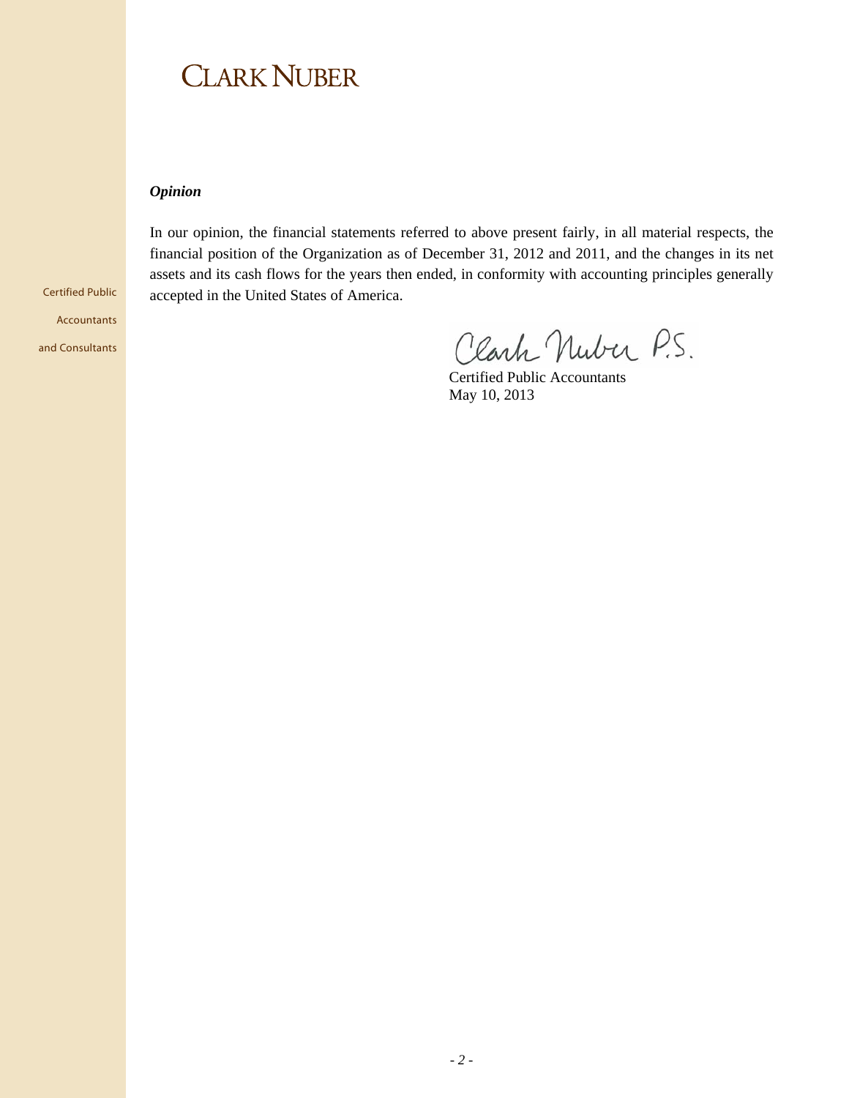# **CLARK NUBER**

#### *Opinion*

In our opinion, the financial statements referred to above present fairly, in all material respects, the financial position of the Organization as of December 31, 2012 and 2011, and the changes in its net assets and its cash flows for the years then ended, in conformity with accounting principles generally accepted in the United States of America.

Clark Nuber P.S.

Certified Public Accountants May 10, 2013

Certified Public Accountants and Consultants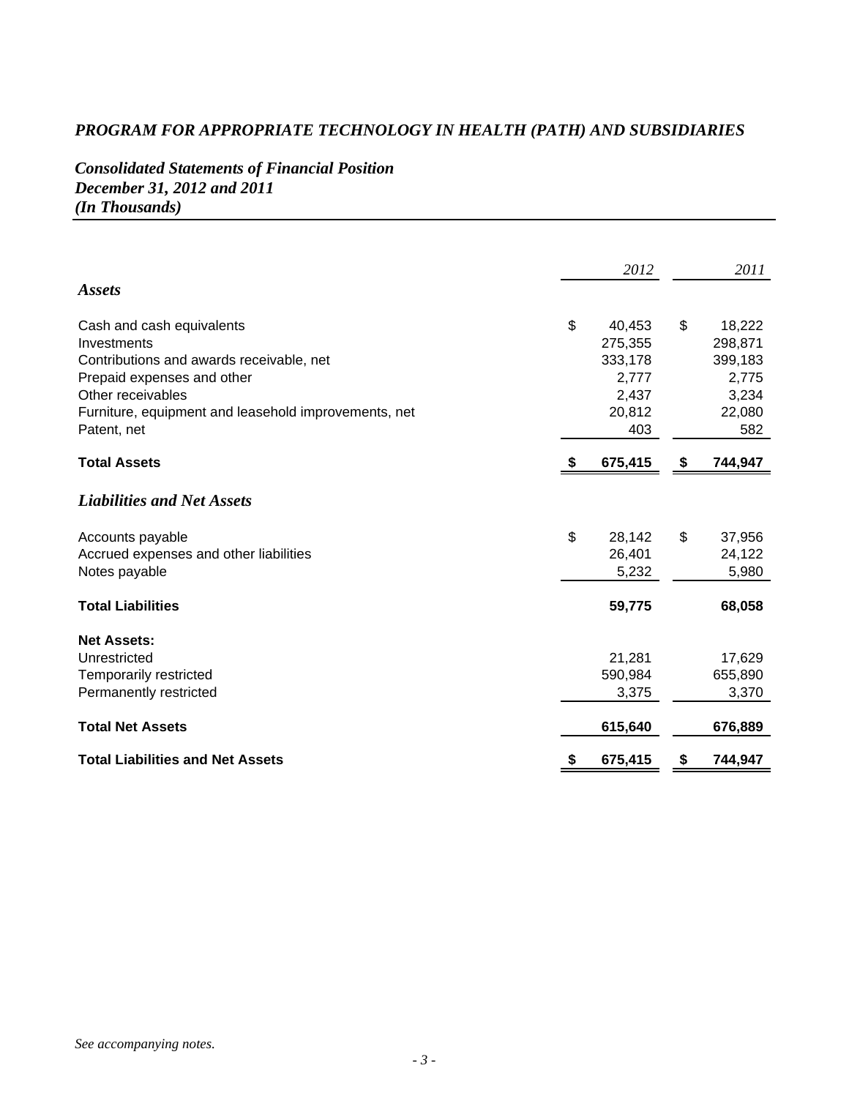## *Consolidated Statements of Financial Position December 31, 2012 and 2011 (In Thousands)*

|                                                      | 2012          | 2011          |
|------------------------------------------------------|---------------|---------------|
| <b>Assets</b>                                        |               |               |
| Cash and cash equivalents                            | \$<br>40,453  | \$<br>18,222  |
| Investments                                          | 275,355       | 298,871       |
| Contributions and awards receivable, net             | 333,178       | 399,183       |
| Prepaid expenses and other                           | 2,777         | 2,775         |
| Other receivables                                    | 2,437         | 3,234         |
| Furniture, equipment and leasehold improvements, net | 20,812        | 22,080        |
| Patent, net                                          | 403           | 582           |
| <b>Total Assets</b>                                  | 675,415       | \$<br>744,947 |
| <b>Liabilities and Net Assets</b>                    |               |               |
| Accounts payable                                     | \$<br>28,142  | \$<br>37,956  |
| Accrued expenses and other liabilities               | 26,401        | 24,122        |
| Notes payable                                        | 5,232         | 5,980         |
| <b>Total Liabilities</b>                             | 59,775        | 68,058        |
| <b>Net Assets:</b>                                   |               |               |
| Unrestricted                                         | 21,281        | 17,629        |
| Temporarily restricted                               | 590,984       | 655,890       |
| Permanently restricted                               | 3,375         | 3,370         |
| <b>Total Net Assets</b>                              | 615,640       | 676,889       |
| <b>Total Liabilities and Net Assets</b>              | \$<br>675,415 | \$<br>744,947 |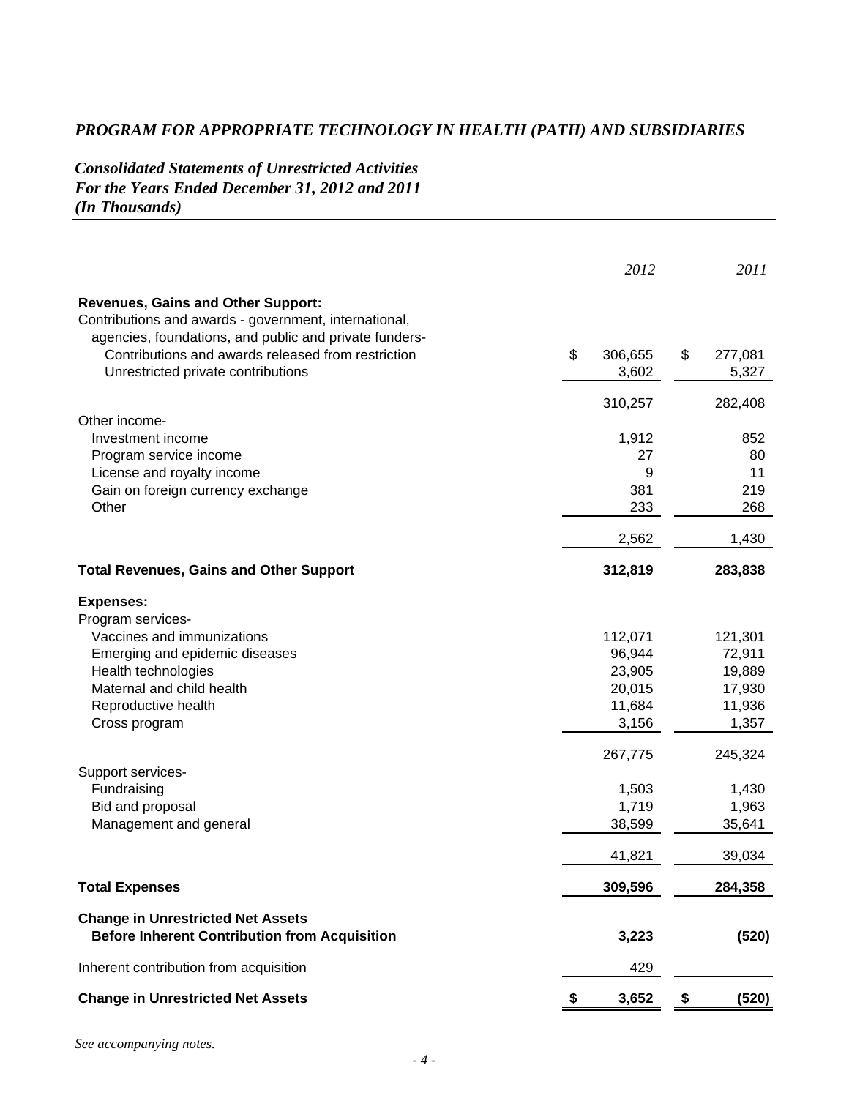*Consolidated Statements of Unrestricted Activities For the Years Ended December 31, 2012 and 2011 (In Thousands)* 

|                                                                                                                                                              | 2012                   | 2011                   |
|--------------------------------------------------------------------------------------------------------------------------------------------------------------|------------------------|------------------------|
| <b>Revenues, Gains and Other Support:</b><br>Contributions and awards - government, international,<br>agencies, foundations, and public and private funders- |                        |                        |
| Contributions and awards released from restriction<br>Unrestricted private contributions                                                                     | \$<br>306,655<br>3,602 | \$<br>277,081<br>5,327 |
|                                                                                                                                                              | 310,257                | 282,408                |
| Other income-                                                                                                                                                |                        |                        |
| Investment income                                                                                                                                            | 1,912                  | 852                    |
| Program service income                                                                                                                                       | 27                     | 80                     |
| License and royalty income                                                                                                                                   | 9                      | 11                     |
| Gain on foreign currency exchange<br>Other                                                                                                                   | 381<br>233             | 219<br>268             |
|                                                                                                                                                              | 2,562                  | 1,430                  |
|                                                                                                                                                              |                        |                        |
| <b>Total Revenues, Gains and Other Support</b>                                                                                                               | 312,819                | 283,838                |
| <b>Expenses:</b>                                                                                                                                             |                        |                        |
| Program services-                                                                                                                                            |                        |                        |
| Vaccines and immunizations                                                                                                                                   | 112,071                | 121,301                |
| Emerging and epidemic diseases                                                                                                                               | 96,944                 | 72,911                 |
| Health technologies                                                                                                                                          | 23,905                 | 19,889                 |
| Maternal and child health                                                                                                                                    | 20,015                 | 17,930                 |
| Reproductive health                                                                                                                                          | 11,684                 | 11,936                 |
| Cross program                                                                                                                                                | 3,156                  | 1,357                  |
|                                                                                                                                                              | 267,775                | 245,324                |
| Support services-<br>Fundraising                                                                                                                             | 1,503                  | 1,430                  |
| Bid and proposal                                                                                                                                             | 1,719                  | 1,963                  |
| Management and general                                                                                                                                       | 38,599                 | 35,641                 |
|                                                                                                                                                              | 41,821                 | 39,034                 |
| <b>Total Expenses</b>                                                                                                                                        | 309,596                | 284,358                |
| <b>Change in Unrestricted Net Assets</b>                                                                                                                     |                        |                        |
| <b>Before Inherent Contribution from Acquisition</b>                                                                                                         | 3,223                  | (520)                  |
| Inherent contribution from acquisition                                                                                                                       | 429                    |                        |
| <b>Change in Unrestricted Net Assets</b>                                                                                                                     | \$<br>3,652            | (520)<br>\$            |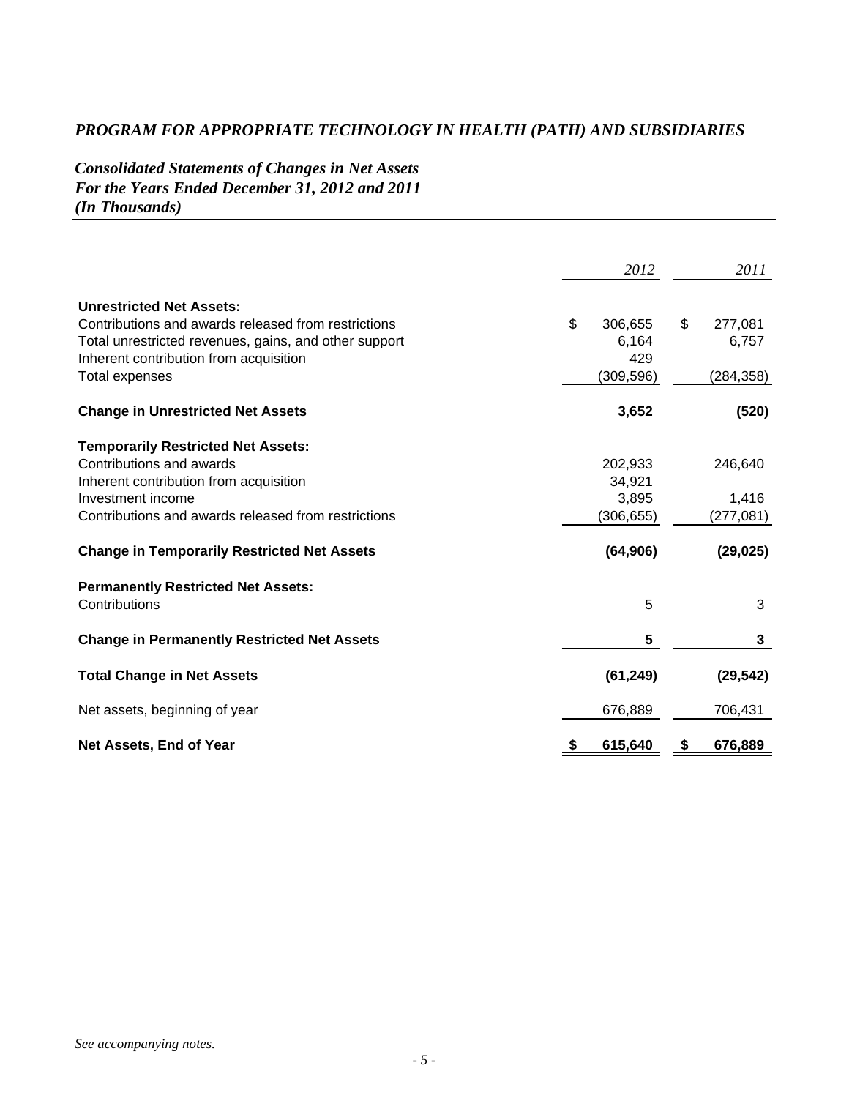*Consolidated Statements of Changes in Net Assets For the Years Ended December 31, 2012 and 2011 (In Thousands)* 

|                                                       |    | 2012       |    | 2011       |
|-------------------------------------------------------|----|------------|----|------------|
| <b>Unrestricted Net Assets:</b>                       |    |            |    |            |
| Contributions and awards released from restrictions   | \$ | 306,655    | \$ | 277,081    |
| Total unrestricted revenues, gains, and other support |    | 6,164      |    | 6,757      |
| Inherent contribution from acquisition                |    | 429        |    |            |
| <b>Total expenses</b>                                 |    | (309, 596) |    | (284,358)  |
| <b>Change in Unrestricted Net Assets</b>              |    | 3,652      |    | (520)      |
| <b>Temporarily Restricted Net Assets:</b>             |    |            |    |            |
| Contributions and awards                              |    | 202,933    |    | 246,640    |
| Inherent contribution from acquisition                |    | 34,921     |    |            |
| Investment income                                     |    | 3,895      |    | 1,416      |
| Contributions and awards released from restrictions   |    | (306, 655) |    | (277, 081) |
| <b>Change in Temporarily Restricted Net Assets</b>    |    | (64, 906)  |    | (29, 025)  |
| <b>Permanently Restricted Net Assets:</b>             |    |            |    |            |
| Contributions                                         |    | 5          |    | 3          |
| <b>Change in Permanently Restricted Net Assets</b>    |    | 5          |    | 3          |
| <b>Total Change in Net Assets</b>                     |    | (61, 249)  |    | (29, 542)  |
| Net assets, beginning of year                         |    | 676,889    |    | 706,431    |
| Net Assets, End of Year                               | S  | 615,640    | S  | 676,889    |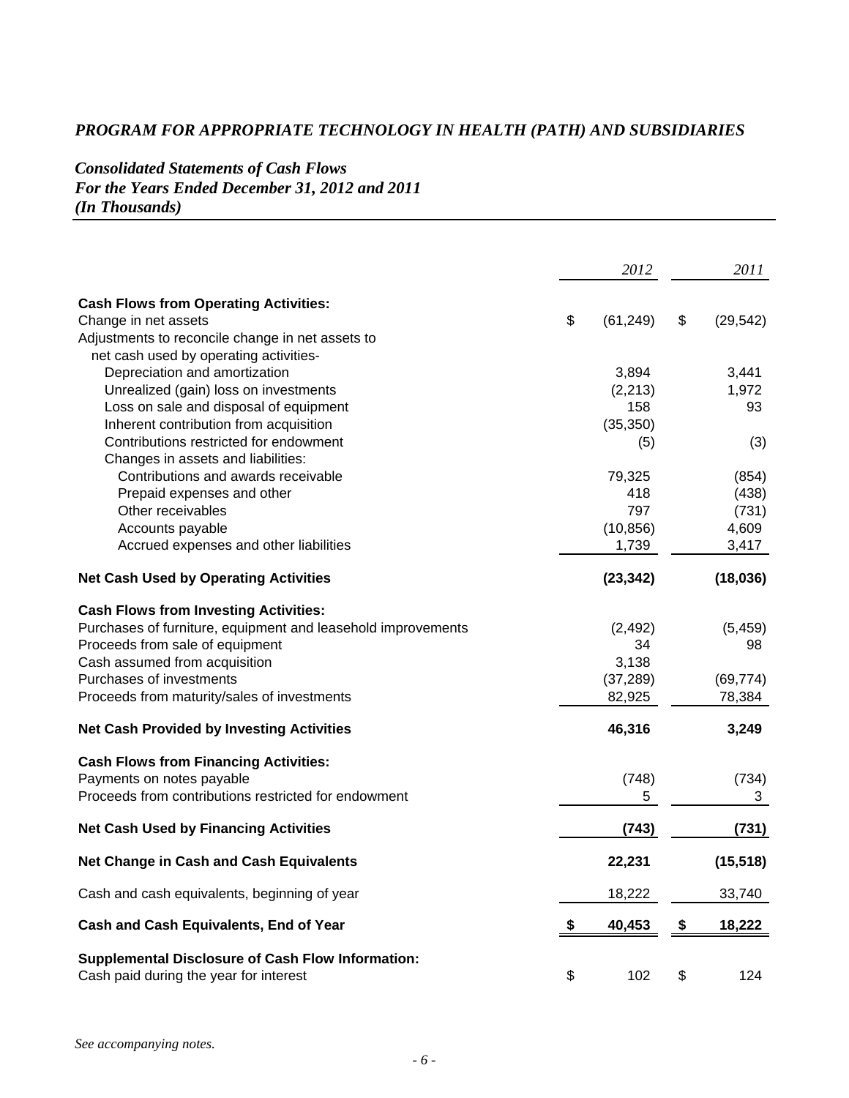*Consolidated Statements of Cash Flows For the Years Ended December 31, 2012 and 2011 (In Thousands)* 

|                                                                                                    | 2012            | 2011            |
|----------------------------------------------------------------------------------------------------|-----------------|-----------------|
| <b>Cash Flows from Operating Activities:</b>                                                       |                 |                 |
| Change in net assets                                                                               | \$<br>(61, 249) | \$<br>(29, 542) |
| Adjustments to reconcile change in net assets to                                                   |                 |                 |
| net cash used by operating activities-                                                             |                 |                 |
| Depreciation and amortization                                                                      | 3,894           | 3,441           |
| Unrealized (gain) loss on investments                                                              | (2, 213)        | 1,972           |
| Loss on sale and disposal of equipment                                                             | 158             | 93              |
| Inherent contribution from acquisition                                                             | (35, 350)       |                 |
| Contributions restricted for endowment                                                             | (5)             | (3)             |
| Changes in assets and liabilities:                                                                 |                 |                 |
| Contributions and awards receivable                                                                | 79,325          | (854)           |
|                                                                                                    | 418             |                 |
| Prepaid expenses and other                                                                         | 797             | (438)           |
| Other receivables                                                                                  |                 | (731)           |
| Accounts payable                                                                                   | (10, 856)       | 4,609           |
| Accrued expenses and other liabilities                                                             | 1,739           | 3,417           |
| <b>Net Cash Used by Operating Activities</b>                                                       | (23, 342)       | (18,036)        |
| <b>Cash Flows from Investing Activities:</b>                                                       |                 |                 |
| Purchases of furniture, equipment and leasehold improvements                                       | (2, 492)        | (5, 459)        |
| Proceeds from sale of equipment                                                                    | 34              | 98              |
| Cash assumed from acquisition                                                                      | 3,138           |                 |
| Purchases of investments                                                                           | (37, 289)       | (69, 774)       |
| Proceeds from maturity/sales of investments                                                        | 82,925          | 78,384          |
| <b>Net Cash Provided by Investing Activities</b>                                                   | 46,316          | 3,249           |
| <b>Cash Flows from Financing Activities:</b>                                                       |                 |                 |
| Payments on notes payable                                                                          | (748)           | (734)           |
| Proceeds from contributions restricted for endowment                                               | 5               | 3               |
|                                                                                                    |                 |                 |
| <b>Net Cash Used by Financing Activities</b>                                                       | (743)           | (731)           |
| <b>Net Change in Cash and Cash Equivalents</b>                                                     | 22,231          | (15, 518)       |
| Cash and cash equivalents, beginning of year                                                       | 18,222          | 33,740          |
| Cash and Cash Equivalents, End of Year                                                             | \$<br>40,453    | \$<br>18,222    |
| <b>Supplemental Disclosure of Cash Flow Information:</b><br>Cash paid during the year for interest | \$<br>102       | \$<br>124       |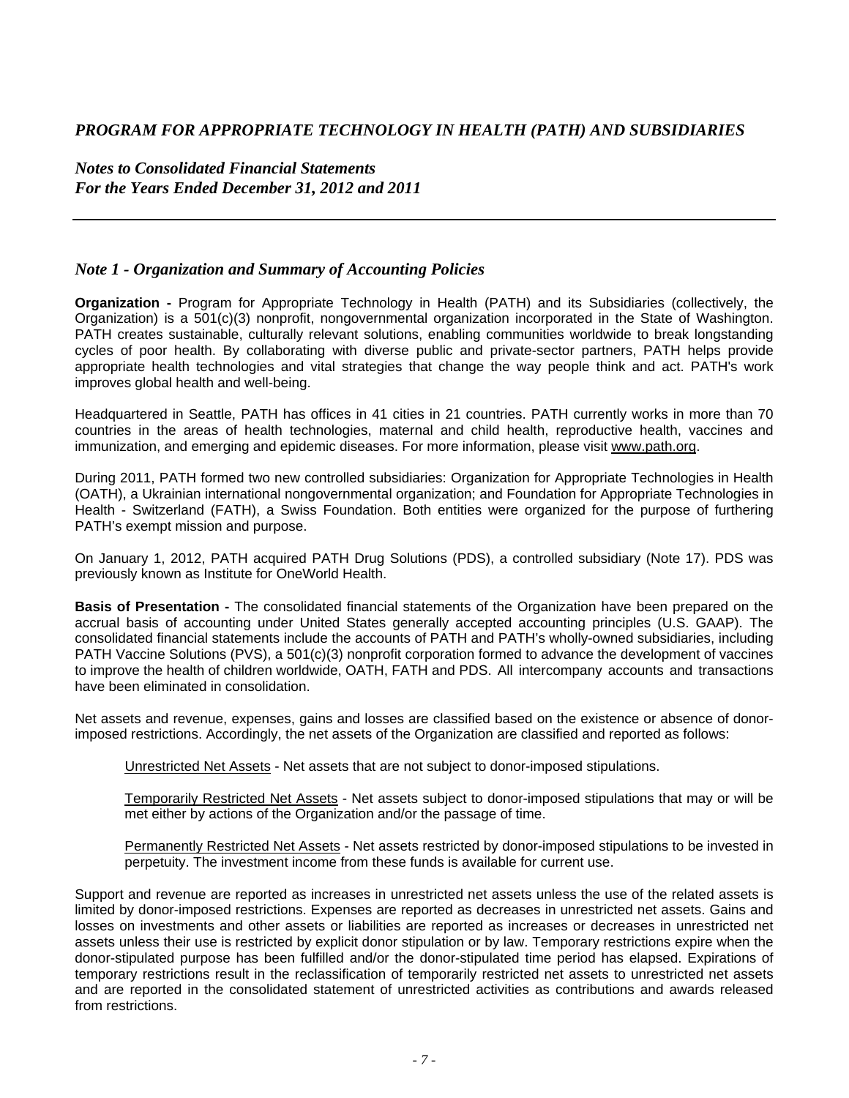*Notes to Consolidated Financial Statements For the Years Ended December 31, 2012 and 2011* 

#### *Note 1 - Organization and Summary of Accounting Policies*

**Organization -** Program for Appropriate Technology in Health (PATH) and its Subsidiaries (collectively, the Organization) is a 501(c)(3) nonprofit, nongovernmental organization incorporated in the State of Washington. PATH creates sustainable, culturally relevant solutions, enabling communities worldwide to break longstanding cycles of poor health. By collaborating with diverse public and private-sector partners, PATH helps provide appropriate health technologies and vital strategies that change the way people think and act. PATH's work improves global health and well-being.

Headquartered in Seattle, PATH has offices in 41 cities in 21 countries. PATH currently works in more than 70 countries in the areas of health technologies, maternal and child health, reproductive health, vaccines and immunization, and emerging and epidemic diseases. For more information, please visit www.path.org.

During 2011, PATH formed two new controlled subsidiaries: Organization for Appropriate Technologies in Health (OATH), a Ukrainian international nongovernmental organization; and Foundation for Appropriate Technologies in Health - Switzerland (FATH), a Swiss Foundation. Both entities were organized for the purpose of furthering PATH's exempt mission and purpose.

On January 1, 2012, PATH acquired PATH Drug Solutions (PDS), a controlled subsidiary (Note 17). PDS was previously known as Institute for OneWorld Health.

**Basis of Presentation -** The consolidated financial statements of the Organization have been prepared on the accrual basis of accounting under United States generally accepted accounting principles (U.S. GAAP). The consolidated financial statements include the accounts of PATH and PATH's wholly-owned subsidiaries, including PATH Vaccine Solutions (PVS), a 501(c)(3) nonprofit corporation formed to advance the development of vaccines to improve the health of children worldwide, OATH, FATH and PDS. All intercompany accounts and transactions have been eliminated in consolidation.

Net assets and revenue, expenses, gains and losses are classified based on the existence or absence of donorimposed restrictions. Accordingly, the net assets of the Organization are classified and reported as follows:

Unrestricted Net Assets - Net assets that are not subject to donor-imposed stipulations.

Temporarily Restricted Net Assets - Net assets subject to donor-imposed stipulations that may or will be met either by actions of the Organization and/or the passage of time.

Permanently Restricted Net Assets - Net assets restricted by donor-imposed stipulations to be invested in perpetuity. The investment income from these funds is available for current use.

Support and revenue are reported as increases in unrestricted net assets unless the use of the related assets is limited by donor-imposed restrictions. Expenses are reported as decreases in unrestricted net assets. Gains and losses on investments and other assets or liabilities are reported as increases or decreases in unrestricted net assets unless their use is restricted by explicit donor stipulation or by law. Temporary restrictions expire when the donor-stipulated purpose has been fulfilled and/or the donor-stipulated time period has elapsed. Expirations of temporary restrictions result in the reclassification of temporarily restricted net assets to unrestricted net assets and are reported in the consolidated statement of unrestricted activities as contributions and awards released from restrictions.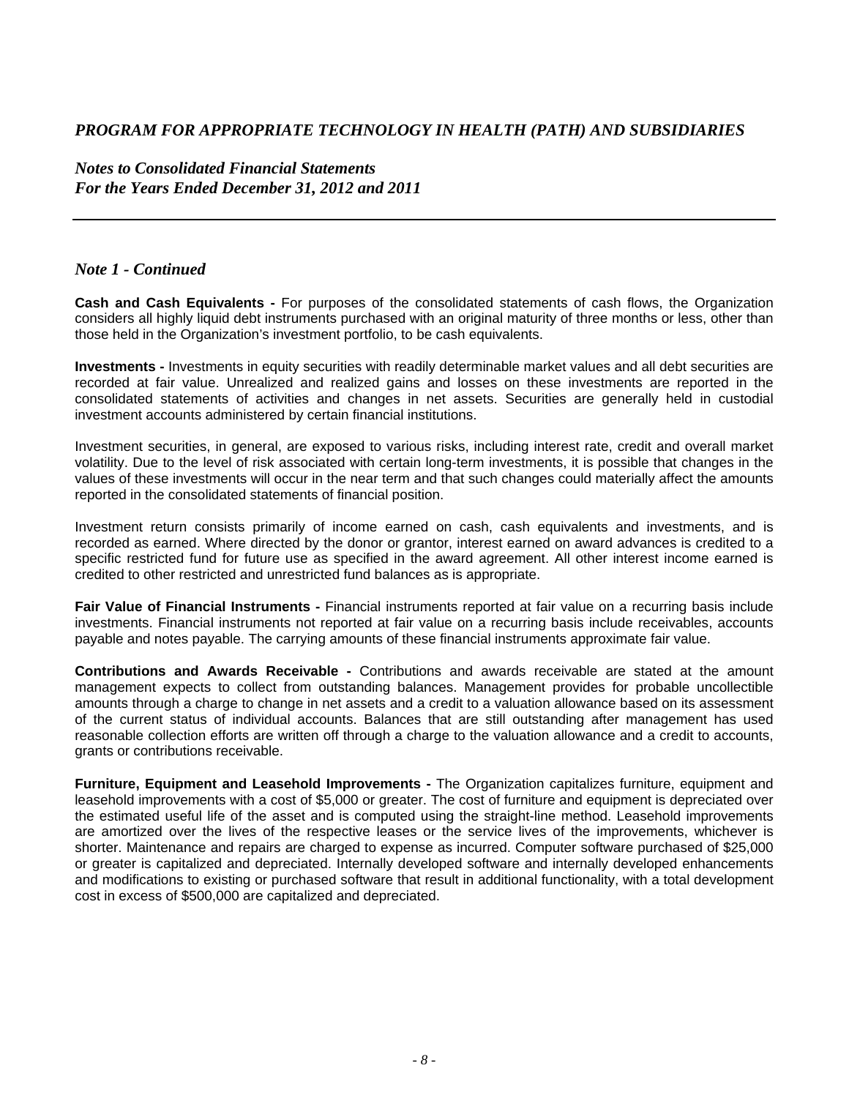*Notes to Consolidated Financial Statements For the Years Ended December 31, 2012 and 2011* 

#### *Note 1 - Continued*

**Cash and Cash Equivalents -** For purposes of the consolidated statements of cash flows, the Organization considers all highly liquid debt instruments purchased with an original maturity of three months or less, other than those held in the Organization's investment portfolio, to be cash equivalents.

**Investments -** Investments in equity securities with readily determinable market values and all debt securities are recorded at fair value. Unrealized and realized gains and losses on these investments are reported in the consolidated statements of activities and changes in net assets. Securities are generally held in custodial investment accounts administered by certain financial institutions.

Investment securities, in general, are exposed to various risks, including interest rate, credit and overall market volatility. Due to the level of risk associated with certain long-term investments, it is possible that changes in the values of these investments will occur in the near term and that such changes could materially affect the amounts reported in the consolidated statements of financial position.

Investment return consists primarily of income earned on cash, cash equivalents and investments, and is recorded as earned. Where directed by the donor or grantor, interest earned on award advances is credited to a specific restricted fund for future use as specified in the award agreement. All other interest income earned is credited to other restricted and unrestricted fund balances as is appropriate.

**Fair Value of Financial Instruments -** Financial instruments reported at fair value on a recurring basis include investments. Financial instruments not reported at fair value on a recurring basis include receivables, accounts payable and notes payable. The carrying amounts of these financial instruments approximate fair value.

**Contributions and Awards Receivable -** Contributions and awards receivable are stated at the amount management expects to collect from outstanding balances. Management provides for probable uncollectible amounts through a charge to change in net assets and a credit to a valuation allowance based on its assessment of the current status of individual accounts. Balances that are still outstanding after management has used reasonable collection efforts are written off through a charge to the valuation allowance and a credit to accounts, grants or contributions receivable.

**Furniture, Equipment and Leasehold Improvements -** The Organization capitalizes furniture, equipment and leasehold improvements with a cost of \$5,000 or greater. The cost of furniture and equipment is depreciated over the estimated useful life of the asset and is computed using the straight-line method. Leasehold improvements are amortized over the lives of the respective leases or the service lives of the improvements, whichever is shorter. Maintenance and repairs are charged to expense as incurred. Computer software purchased of \$25,000 or greater is capitalized and depreciated. Internally developed software and internally developed enhancements and modifications to existing or purchased software that result in additional functionality, with a total development cost in excess of \$500,000 are capitalized and depreciated.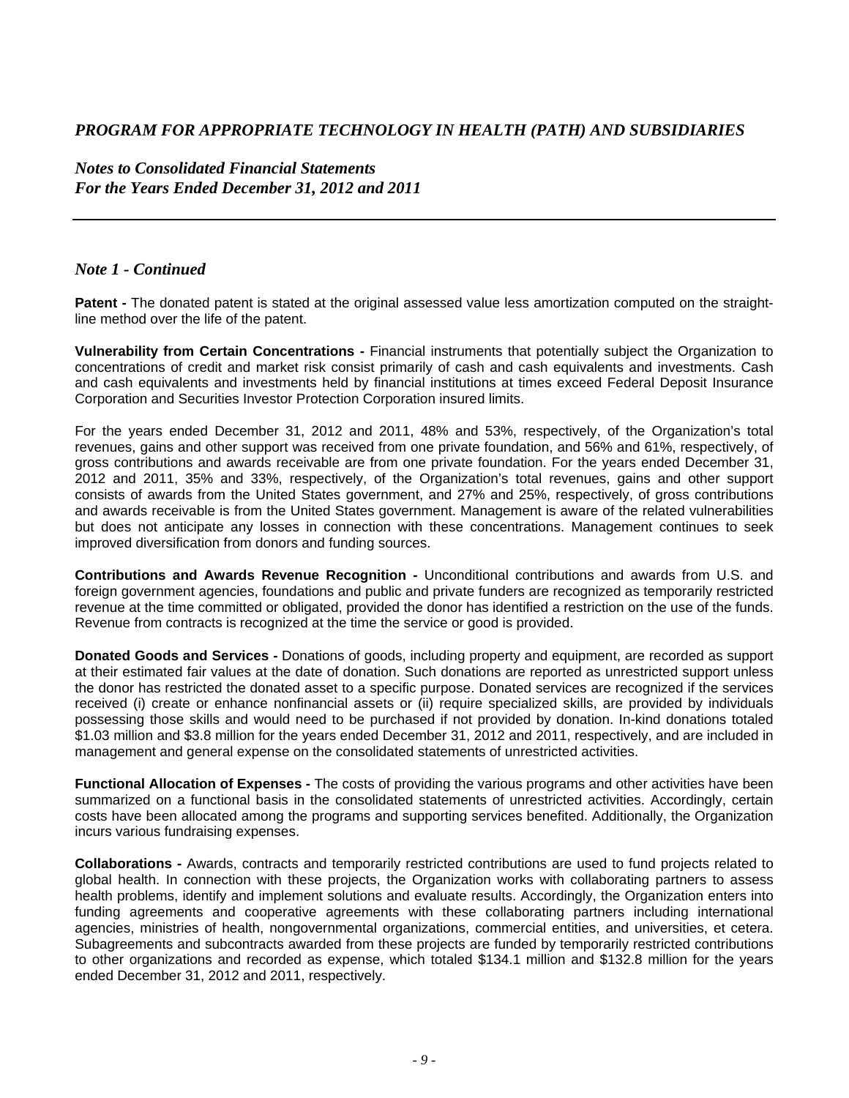*Notes to Consolidated Financial Statements For the Years Ended December 31, 2012 and 2011* 

#### *Note 1 - Continued*

**Patent -** The donated patent is stated at the original assessed value less amortization computed on the straightline method over the life of the patent.

**Vulnerability from Certain Concentrations -** Financial instruments that potentially subject the Organization to concentrations of credit and market risk consist primarily of cash and cash equivalents and investments. Cash and cash equivalents and investments held by financial institutions at times exceed Federal Deposit Insurance Corporation and Securities Investor Protection Corporation insured limits.

For the years ended December 31, 2012 and 2011, 48% and 53%, respectively, of the Organization's total revenues, gains and other support was received from one private foundation, and 56% and 61%, respectively, of gross contributions and awards receivable are from one private foundation. For the years ended December 31, 2012 and 2011, 35% and 33%, respectively, of the Organization's total revenues, gains and other support consists of awards from the United States government, and 27% and 25%, respectively, of gross contributions and awards receivable is from the United States government. Management is aware of the related vulnerabilities but does not anticipate any losses in connection with these concentrations. Management continues to seek improved diversification from donors and funding sources.

**Contributions and Awards Revenue Recognition -** Unconditional contributions and awards from U.S. and foreign government agencies, foundations and public and private funders are recognized as temporarily restricted revenue at the time committed or obligated, provided the donor has identified a restriction on the use of the funds. Revenue from contracts is recognized at the time the service or good is provided.

**Donated Goods and Services -** Donations of goods, including property and equipment, are recorded as support at their estimated fair values at the date of donation. Such donations are reported as unrestricted support unless the donor has restricted the donated asset to a specific purpose. Donated services are recognized if the services received (i) create or enhance nonfinancial assets or (ii) require specialized skills, are provided by individuals possessing those skills and would need to be purchased if not provided by donation. In-kind donations totaled \$1.03 million and \$3.8 million for the years ended December 31, 2012 and 2011, respectively, and are included in management and general expense on the consolidated statements of unrestricted activities.

**Functional Allocation of Expenses -** The costs of providing the various programs and other activities have been summarized on a functional basis in the consolidated statements of unrestricted activities. Accordingly, certain costs have been allocated among the programs and supporting services benefited. Additionally, the Organization incurs various fundraising expenses.

**Collaborations -** Awards, contracts and temporarily restricted contributions are used to fund projects related to global health. In connection with these projects, the Organization works with collaborating partners to assess health problems, identify and implement solutions and evaluate results. Accordingly, the Organization enters into funding agreements and cooperative agreements with these collaborating partners including international agencies, ministries of health, nongovernmental organizations, commercial entities, and universities, et cetera. Subagreements and subcontracts awarded from these projects are funded by temporarily restricted contributions to other organizations and recorded as expense, which totaled \$134.1 million and \$132.8 million for the years ended December 31, 2012 and 2011, respectively.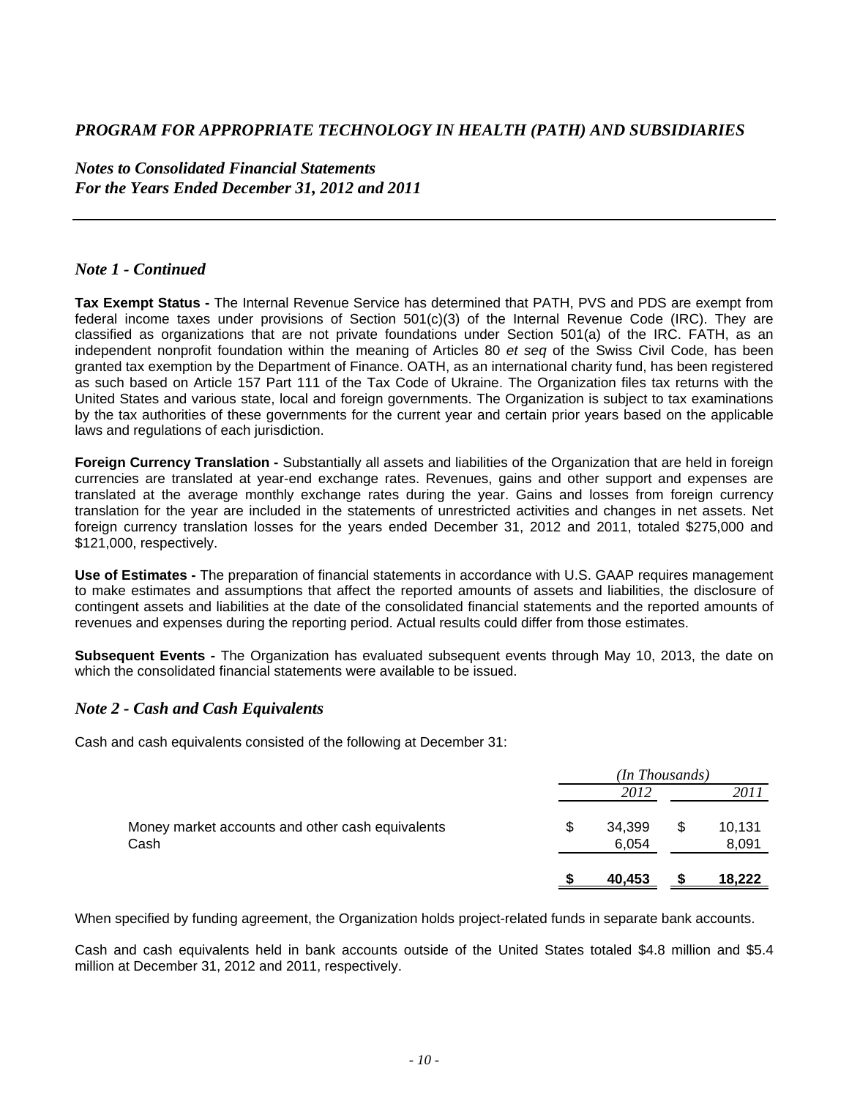*Notes to Consolidated Financial Statements For the Years Ended December 31, 2012 and 2011* 

#### *Note 1 - Continued*

**Tax Exempt Status -** The Internal Revenue Service has determined that PATH, PVS and PDS are exempt from federal income taxes under provisions of Section 501(c)(3) of the Internal Revenue Code (IRC). They are classified as organizations that are not private foundations under Section 501(a) of the IRC. FATH, as an independent nonprofit foundation within the meaning of Articles 80 *et seq* of the Swiss Civil Code, has been granted tax exemption by the Department of Finance. OATH, as an international charity fund, has been registered as such based on Article 157 Part 111 of the Tax Code of Ukraine. The Organization files tax returns with the United States and various state, local and foreign governments. The Organization is subject to tax examinations by the tax authorities of these governments for the current year and certain prior years based on the applicable laws and regulations of each jurisdiction.

**Foreign Currency Translation -** Substantially all assets and liabilities of the Organization that are held in foreign currencies are translated at year-end exchange rates. Revenues, gains and other support and expenses are translated at the average monthly exchange rates during the year. Gains and losses from foreign currency translation for the year are included in the statements of unrestricted activities and changes in net assets. Net foreign currency translation losses for the years ended December 31, 2012 and 2011, totaled \$275,000 and \$121,000, respectively.

**Use of Estimates -** The preparation of financial statements in accordance with U.S. GAAP requires management to make estimates and assumptions that affect the reported amounts of assets and liabilities, the disclosure of contingent assets and liabilities at the date of the consolidated financial statements and the reported amounts of revenues and expenses during the reporting period. Actual results could differ from those estimates.

**Subsequent Events** *-* The Organization has evaluated subsequent events through May 10, 2013, the date on which the consolidated financial statements were available to be issued.

#### *Note 2 - Cash and Cash Equivalents*

Cash and cash equivalents consisted of the following at December 31:

|                                                          | (In Thousands)        |    |                 |  |  |
|----------------------------------------------------------|-----------------------|----|-----------------|--|--|
|                                                          | 2012                  |    | 2011            |  |  |
| Money market accounts and other cash equivalents<br>Cash | \$<br>34,399<br>6,054 | \$ | 10,131<br>8,091 |  |  |
|                                                          | 40,453                |    | 18,222          |  |  |

When specified by funding agreement, the Organization holds project-related funds in separate bank accounts.

Cash and cash equivalents held in bank accounts outside of the United States totaled \$4.8 million and \$5.4 million at December 31, 2012 and 2011, respectively.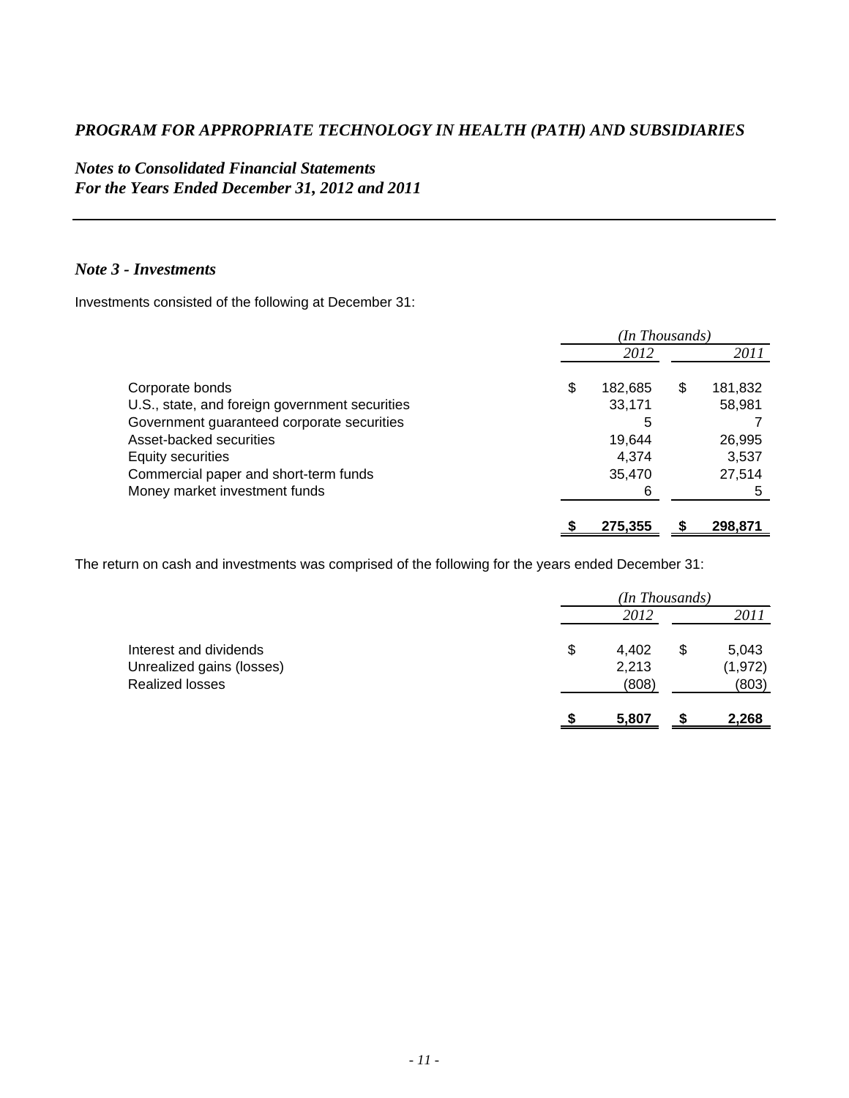## *Notes to Consolidated Financial Statements For the Years Ended December 31, 2012 and 2011*

#### *Note 3 - Investments*

Investments consisted of the following at December 31:

|                                                | (In Thousands) |         |   |         |  |  |
|------------------------------------------------|----------------|---------|---|---------|--|--|
|                                                |                | 2012    |   | 2011    |  |  |
| Corporate bonds                                | \$             | 182,685 | S | 181,832 |  |  |
| U.S., state, and foreign government securities |                | 33,171  |   | 58,981  |  |  |
| Government guaranteed corporate securities     |                | 5       |   |         |  |  |
| Asset-backed securities                        |                | 19,644  |   | 26,995  |  |  |
| Equity securities                              |                | 4.374   |   | 3,537   |  |  |
| Commercial paper and short-term funds          |                | 35,470  |   | 27,514  |  |  |
| Money market investment funds                  |                | 6       |   |         |  |  |
|                                                |                | 275,355 |   | 298,871 |  |  |

The return on cash and investments was comprised of the following for the years ended December 31:

|                                                                        | (In Thousands)                |    |                            |  |
|------------------------------------------------------------------------|-------------------------------|----|----------------------------|--|
|                                                                        | 2012                          |    | 2011                       |  |
| Interest and dividends<br>Unrealized gains (losses)<br>Realized losses | \$<br>4,402<br>2,213<br>(808) | \$ | 5,043<br>(1, 972)<br>(803) |  |
|                                                                        | 5,807                         |    | 2,268                      |  |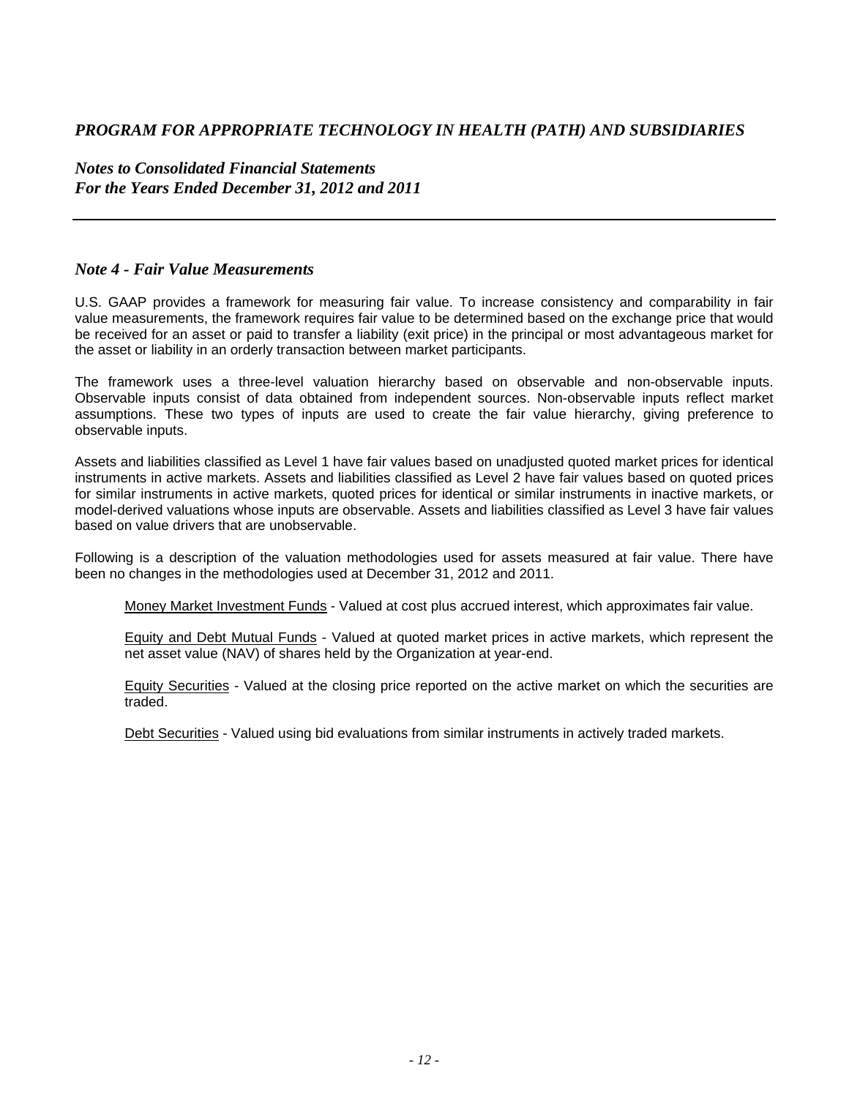*Notes to Consolidated Financial Statements For the Years Ended December 31, 2012 and 2011* 

#### *Note 4 - Fair Value Measurements*

U.S. GAAP provides a framework for measuring fair value. To increase consistency and comparability in fair value measurements, the framework requires fair value to be determined based on the exchange price that would be received for an asset or paid to transfer a liability (exit price) in the principal or most advantageous market for the asset or liability in an orderly transaction between market participants.

The framework uses a three-level valuation hierarchy based on observable and non-observable inputs. Observable inputs consist of data obtained from independent sources. Non-observable inputs reflect market assumptions. These two types of inputs are used to create the fair value hierarchy, giving preference to observable inputs.

Assets and liabilities classified as Level 1 have fair values based on unadjusted quoted market prices for identical instruments in active markets. Assets and liabilities classified as Level 2 have fair values based on quoted prices for similar instruments in active markets, quoted prices for identical or similar instruments in inactive markets, or model-derived valuations whose inputs are observable. Assets and liabilities classified as Level 3 have fair values based on value drivers that are unobservable.

Following is a description of the valuation methodologies used for assets measured at fair value. There have been no changes in the methodologies used at December 31, 2012 and 2011.

Money Market Investment Funds - Valued at cost plus accrued interest, which approximates fair value.

Equity and Debt Mutual Funds - Valued at quoted market prices in active markets, which represent the net asset value (NAV) of shares held by the Organization at year-end.

Equity Securities - Valued at the closing price reported on the active market on which the securities are traded.

Debt Securities - Valued using bid evaluations from similar instruments in actively traded markets.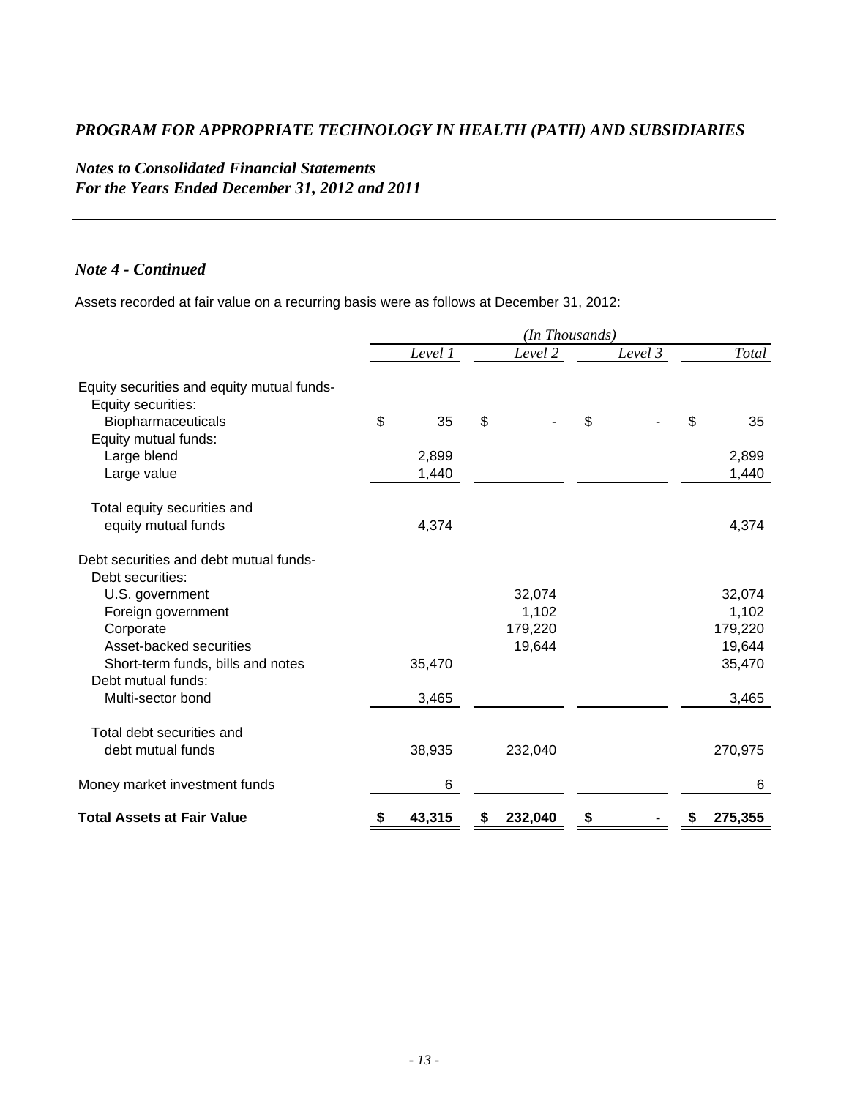## *Notes to Consolidated Financial Statements For the Years Ended December 31, 2012 and 2011*

## *Note 4 - Continued*

Assets recorded at fair value on a recurring basis were as follows at December 31, 2012:

|                                                                  | (In Thousands) |         |    |         |    |           |    |         |
|------------------------------------------------------------------|----------------|---------|----|---------|----|-----------|----|---------|
|                                                                  |                | Level 1 |    | Level 2 |    | Level $3$ |    | Total   |
| Equity securities and equity mutual funds-<br>Equity securities: |                |         |    |         |    |           |    |         |
| Biopharmaceuticals                                               | \$             | 35      | \$ |         | \$ |           | \$ | 35      |
| Equity mutual funds:                                             |                | 2,899   |    |         |    |           |    | 2,899   |
| Large blend                                                      |                |         |    |         |    |           |    |         |
| Large value                                                      |                | 1,440   |    |         |    |           |    | 1,440   |
| Total equity securities and                                      |                |         |    |         |    |           |    |         |
| equity mutual funds                                              |                | 4,374   |    |         |    |           |    | 4,374   |
| Debt securities and debt mutual funds-                           |                |         |    |         |    |           |    |         |
| Debt securities:                                                 |                |         |    |         |    |           |    |         |
| U.S. government                                                  |                |         |    | 32,074  |    |           |    | 32,074  |
| Foreign government                                               |                |         |    | 1,102   |    |           |    | 1,102   |
| Corporate                                                        |                |         |    | 179,220 |    |           |    | 179,220 |
| Asset-backed securities                                          |                |         |    | 19,644  |    |           |    | 19,644  |
| Short-term funds, bills and notes                                |                | 35,470  |    |         |    |           |    | 35,470  |
| Debt mutual funds:                                               |                |         |    |         |    |           |    |         |
| Multi-sector bond                                                |                | 3,465   |    |         |    |           |    | 3,465   |
| Total debt securities and                                        |                |         |    |         |    |           |    |         |
| debt mutual funds                                                |                | 38,935  |    | 232,040 |    |           |    | 270,975 |
| Money market investment funds                                    |                | 6       |    |         |    |           |    | 6       |
| <b>Total Assets at Fair Value</b>                                | S              | 43,315  | S  | 232,040 | \$ |           | 5  | 275,355 |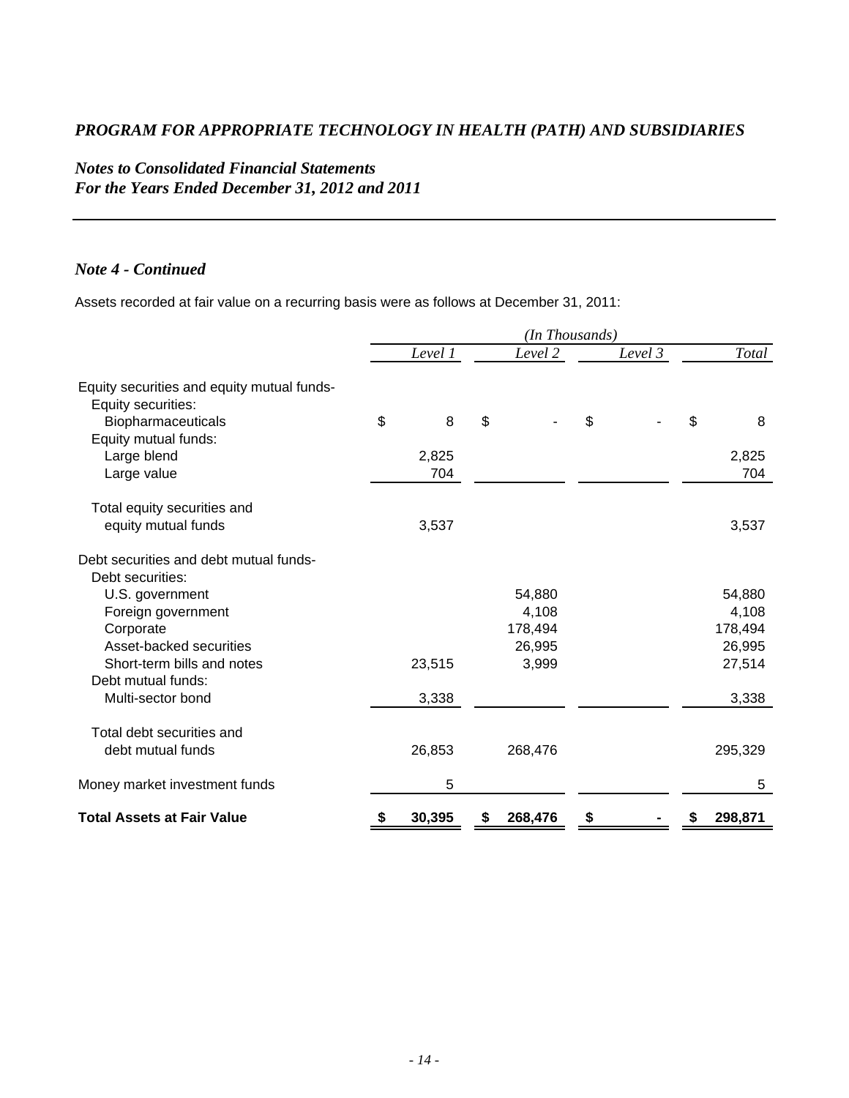## *Notes to Consolidated Financial Statements For the Years Ended December 31, 2012 and 2011*

## *Note 4 - Continued*

Assets recorded at fair value on a recurring basis were as follows at December 31, 2011:

|                                                                                        | (In Thousands) |         |    |         |    |         |    |         |
|----------------------------------------------------------------------------------------|----------------|---------|----|---------|----|---------|----|---------|
|                                                                                        |                | Level 1 |    | Level 2 |    | Level 3 |    | Total   |
| Equity securities and equity mutual funds-<br>Equity securities:<br>Biopharmaceuticals | \$             | 8       | \$ |         | \$ |         | \$ | 8       |
| Equity mutual funds:                                                                   |                |         |    |         |    |         |    |         |
| Large blend                                                                            |                | 2,825   |    |         |    |         |    | 2,825   |
| Large value                                                                            |                | 704     |    |         |    |         |    | 704     |
| Total equity securities and                                                            |                |         |    |         |    |         |    |         |
| equity mutual funds                                                                    |                | 3,537   |    |         |    |         |    | 3,537   |
| Debt securities and debt mutual funds-<br>Debt securities:                             |                |         |    |         |    |         |    |         |
| U.S. government                                                                        |                |         |    | 54,880  |    |         |    | 54,880  |
| Foreign government                                                                     |                |         |    | 4,108   |    |         |    | 4,108   |
| Corporate                                                                              |                |         |    | 178,494 |    |         |    | 178,494 |
| Asset-backed securities                                                                |                |         |    | 26,995  |    |         |    | 26,995  |
| Short-term bills and notes<br>Debt mutual funds:                                       |                | 23,515  |    | 3,999   |    |         |    | 27,514  |
| Multi-sector bond                                                                      |                | 3,338   |    |         |    |         |    | 3,338   |
| Total debt securities and                                                              |                |         |    |         |    |         |    |         |
| debt mutual funds                                                                      |                | 26,853  |    | 268,476 |    |         |    | 295,329 |
| Money market investment funds                                                          |                | 5       |    |         |    |         |    | 5       |
| <b>Total Assets at Fair Value</b>                                                      | \$             | 30,395  | \$ | 268,476 | \$ |         | æ. | 298,871 |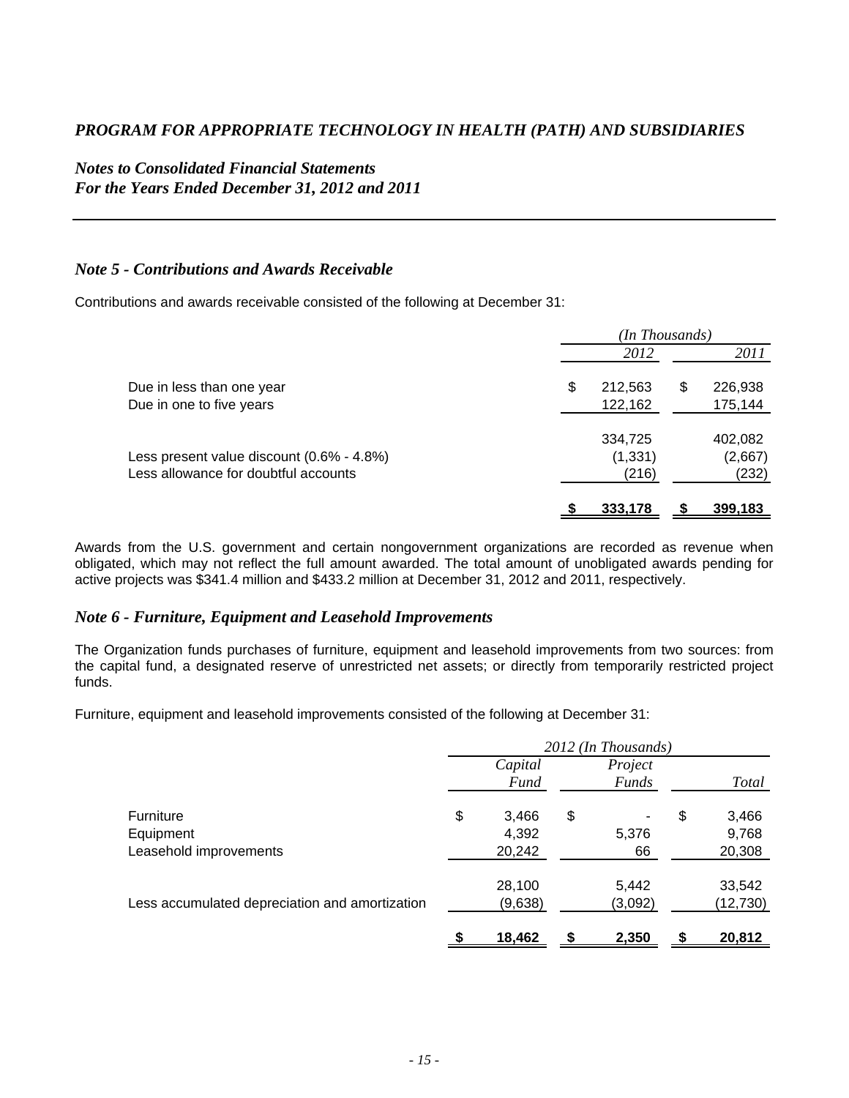## *Notes to Consolidated Financial Statements For the Years Ended December 31, 2012 and 2011*

#### *Note 5 - Contributions and Awards Receivable*

Contributions and awards receivable consisted of the following at December 31:

|                                           | (In Thousands) |          |    |         |  |
|-------------------------------------------|----------------|----------|----|---------|--|
|                                           |                | 2012     |    | 2011    |  |
| Due in less than one year                 | \$             | 212,563  | \$ | 226,938 |  |
| Due in one to five years                  |                | 122,162  |    | 175,144 |  |
|                                           |                | 334,725  |    | 402,082 |  |
| Less present value discount (0.6% - 4.8%) |                | (1, 331) |    | (2,667) |  |
| Less allowance for doubtful accounts      |                | (216)    |    | (232)   |  |
|                                           |                | 333,178  |    | 399,183 |  |

Awards from the U.S. government and certain nongovernment organizations are recorded as revenue when obligated, which may not reflect the full amount awarded. The total amount of unobligated awards pending for active projects was \$341.4 million and \$433.2 million at December 31, 2012 and 2011, respectively.

#### *Note 6 - Furniture, Equipment and Leasehold Improvements*

The Organization funds purchases of furniture, equipment and leasehold improvements from two sources: from the capital fund, a designated reserve of unrestricted net assets; or directly from temporarily restricted project funds.

Furniture, equipment and leasehold improvements consisted of the following at December 31:

|                                                | 2012 (In Thousands) |    |              |    |              |  |
|------------------------------------------------|---------------------|----|--------------|----|--------------|--|
|                                                | Capital             |    | Project      |    |              |  |
|                                                | <b>Fund</b>         |    | <b>Funds</b> |    | <b>Total</b> |  |
| <b>Furniture</b>                               | \$<br>3,466         | \$ | ٠            | \$ | 3,466        |  |
| Equipment                                      | 4,392               |    | 5,376        |    | 9,768        |  |
| Leasehold improvements                         | 20,242              |    | 66           |    | 20,308       |  |
|                                                | 28,100              |    | 5,442        |    | 33,542       |  |
| Less accumulated depreciation and amortization | (9,638)             |    | (3,092)      |    | (12, 730)    |  |
|                                                | 18,462              |    | 2,350        |    | 20,812       |  |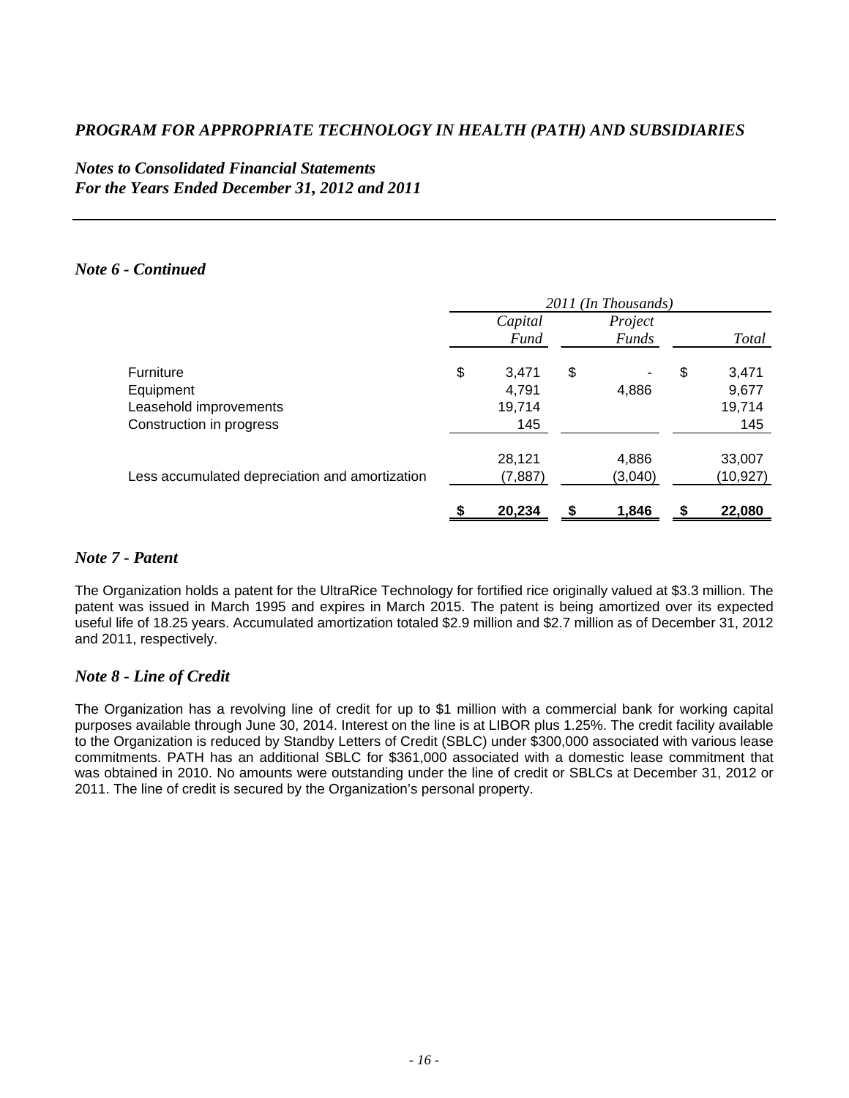## *Notes to Consolidated Financial Statements For the Years Ended December 31, 2012 and 2011*

#### *Note 6 - Continued*

|                                                                              | 2011 (In Thousands) |                                 |    |                           |    |                                 |
|------------------------------------------------------------------------------|---------------------|---------------------------------|----|---------------------------|----|---------------------------------|
|                                                                              |                     | Capital<br>Fund                 |    | Project<br><b>Funds</b>   |    | <b>Total</b>                    |
| Furniture<br>Equipment<br>Leasehold improvements<br>Construction in progress | \$                  | 3,471<br>4,791<br>19,714<br>145 | \$ | 4,886                     | \$ | 3,471<br>9,677<br>19,714<br>145 |
| Less accumulated depreciation and amortization                               |                     | 28,121<br>(7, 887)<br>20,234    |    | 4,886<br>(3,040)<br>1,846 |    | 33,007<br>(10,927)<br>22,080    |

#### *Note 7 - Patent*

The Organization holds a patent for the UltraRice Technology for fortified rice originally valued at \$3.3 million. The patent was issued in March 1995 and expires in March 2015. The patent is being amortized over its expected useful life of 18.25 years. Accumulated amortization totaled \$2.9 million and \$2.7 million as of December 31, 2012 and 2011, respectively.

#### *Note 8 - Line of Credit*

The Organization has a revolving line of credit for up to \$1 million with a commercial bank for working capital purposes available through June 30, 2014. Interest on the line is at LIBOR plus 1.25%. The credit facility available to the Organization is reduced by Standby Letters of Credit (SBLC) under \$300,000 associated with various lease commitments. PATH has an additional SBLC for \$361,000 associated with a domestic lease commitment that was obtained in 2010. No amounts were outstanding under the line of credit or SBLCs at December 31, 2012 or 2011. The line of credit is secured by the Organization's personal property.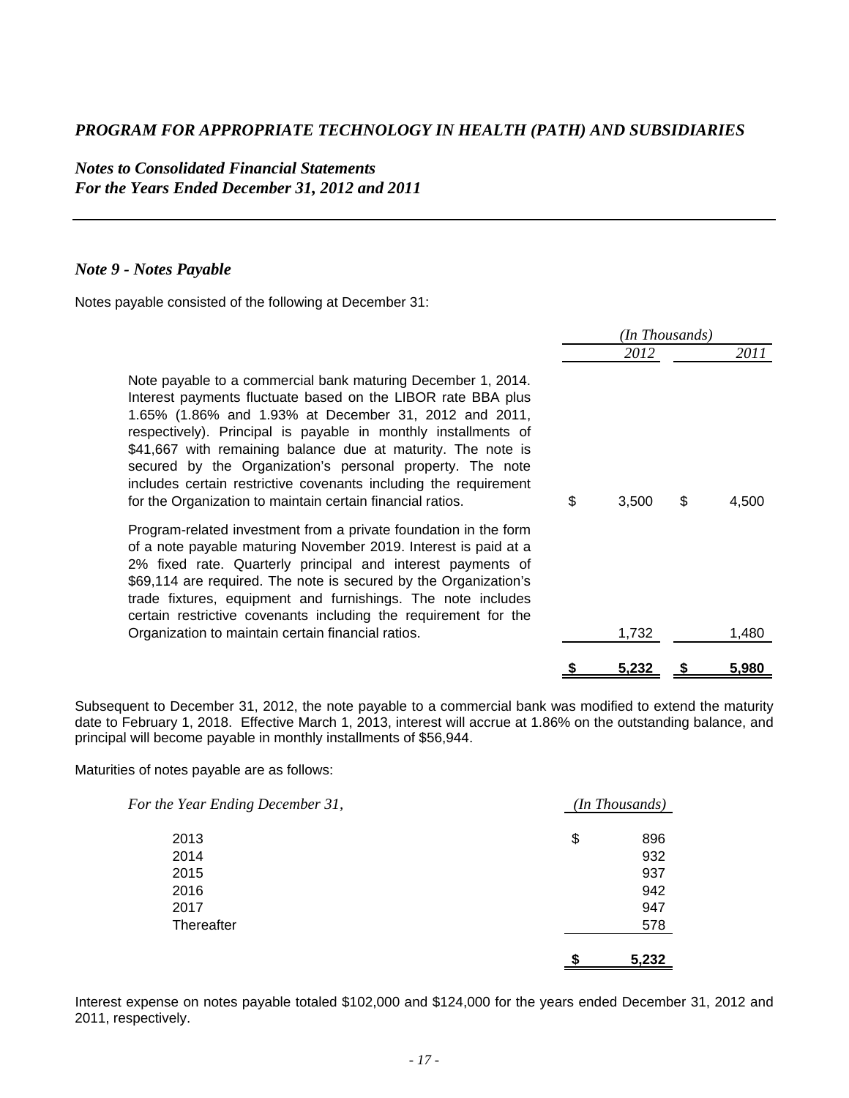*Notes to Consolidated Financial Statements For the Years Ended December 31, 2012 and 2011* 

#### *Note 9 - Notes Payable*

Notes payable consisted of the following at December 31:

|                                                                                                                                                                                                                                                                                                                                                                                                                                                                                                                        | (In Thousands) |       |    |       |
|------------------------------------------------------------------------------------------------------------------------------------------------------------------------------------------------------------------------------------------------------------------------------------------------------------------------------------------------------------------------------------------------------------------------------------------------------------------------------------------------------------------------|----------------|-------|----|-------|
|                                                                                                                                                                                                                                                                                                                                                                                                                                                                                                                        |                | 2012  |    | 2011  |
| Note payable to a commercial bank maturing December 1, 2014.<br>Interest payments fluctuate based on the LIBOR rate BBA plus<br>1.65% (1.86% and 1.93% at December 31, 2012 and 2011,<br>respectively). Principal is payable in monthly installments of<br>\$41,667 with remaining balance due at maturity. The note is<br>secured by the Organization's personal property. The note<br>includes certain restrictive covenants including the requirement<br>for the Organization to maintain certain financial ratios. | \$             | 3,500 | \$ | 4,500 |
| Program-related investment from a private foundation in the form<br>of a note payable maturing November 2019. Interest is paid at a<br>2% fixed rate. Quarterly principal and interest payments of<br>\$69,114 are required. The note is secured by the Organization's<br>trade fixtures, equipment and furnishings. The note includes<br>certain restrictive covenants including the requirement for the<br>Organization to maintain certain financial ratios.                                                        |                | 1,732 |    | 1,480 |
|                                                                                                                                                                                                                                                                                                                                                                                                                                                                                                                        | S              | 5,232 |    | 5,980 |

Subsequent to December 31, 2012, the note payable to a commercial bank was modified to extend the maturity date to February 1, 2018. Effective March 1, 2013, interest will accrue at 1.86% on the outstanding balance, and principal will become payable in monthly installments of \$56,944.

Maturities of notes payable are as follows:

| For the Year Ending December 31, |    | (In Thousands) |
|----------------------------------|----|----------------|
| 2013                             | \$ | 896            |
| 2014                             |    | 932            |
| 2015                             |    | 937            |
| 2016                             |    | 942            |
| 2017                             |    | 947            |
| Thereafter                       |    | 578            |
|                                  |    | 5,232          |

Interest expense on notes payable totaled \$102,000 and \$124,000 for the years ended December 31, 2012 and 2011, respectively.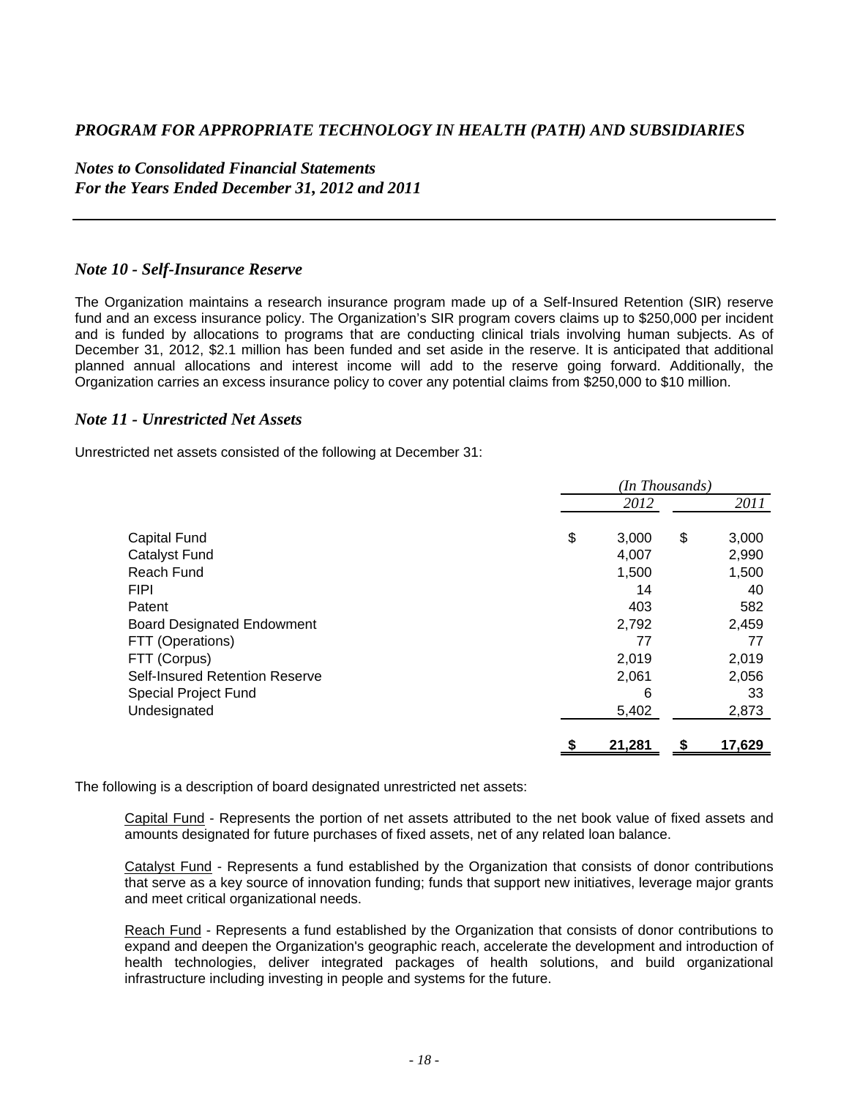*Notes to Consolidated Financial Statements For the Years Ended December 31, 2012 and 2011* 

#### *Note 10 - Self-Insurance Reserve*

The Organization maintains a research insurance program made up of a Self-Insured Retention (SIR) reserve fund and an excess insurance policy. The Organization's SIR program covers claims up to \$250,000 per incident and is funded by allocations to programs that are conducting clinical trials involving human subjects. As of December 31, 2012, \$2.1 million has been funded and set aside in the reserve. It is anticipated that additional planned annual allocations and interest income will add to the reserve going forward. Additionally, the Organization carries an excess insurance policy to cover any potential claims from \$250,000 to \$10 million.

#### *Note 11 - Unrestricted Net Assets*

Unrestricted net assets consisted of the following at December 31:

|                                   | (In Thousands) |        |    |        |  |
|-----------------------------------|----------------|--------|----|--------|--|
|                                   |                | 2012   |    | 2011   |  |
| <b>Capital Fund</b>               | \$             | 3,000  | \$ | 3,000  |  |
| Catalyst Fund                     |                | 4,007  |    | 2,990  |  |
| Reach Fund                        |                | 1,500  |    | 1,500  |  |
| <b>FIPI</b>                       |                | 14     |    | 40     |  |
| Patent                            |                | 403    |    | 582    |  |
| <b>Board Designated Endowment</b> |                | 2,792  |    | 2,459  |  |
| FTT (Operations)                  |                | 77     |    | 77     |  |
| FTT (Corpus)                      |                | 2,019  |    | 2,019  |  |
| Self-Insured Retention Reserve    |                | 2,061  |    | 2,056  |  |
| <b>Special Project Fund</b>       |                | 6      |    | 33     |  |
| Undesignated                      |                | 5,402  |    | 2,873  |  |
|                                   |                | 21,281 | S  | 17,629 |  |

The following is a description of board designated unrestricted net assets:

Capital Fund - Represents the portion of net assets attributed to the net book value of fixed assets and amounts designated for future purchases of fixed assets, net of any related loan balance.

Catalyst Fund - Represents a fund established by the Organization that consists of donor contributions that serve as a key source of innovation funding; funds that support new initiatives, leverage major grants and meet critical organizational needs.

Reach Fund - Represents a fund established by the Organization that consists of donor contributions to expand and deepen the Organization's geographic reach, accelerate the development and introduction of health technologies, deliver integrated packages of health solutions, and build organizational infrastructure including investing in people and systems for the future.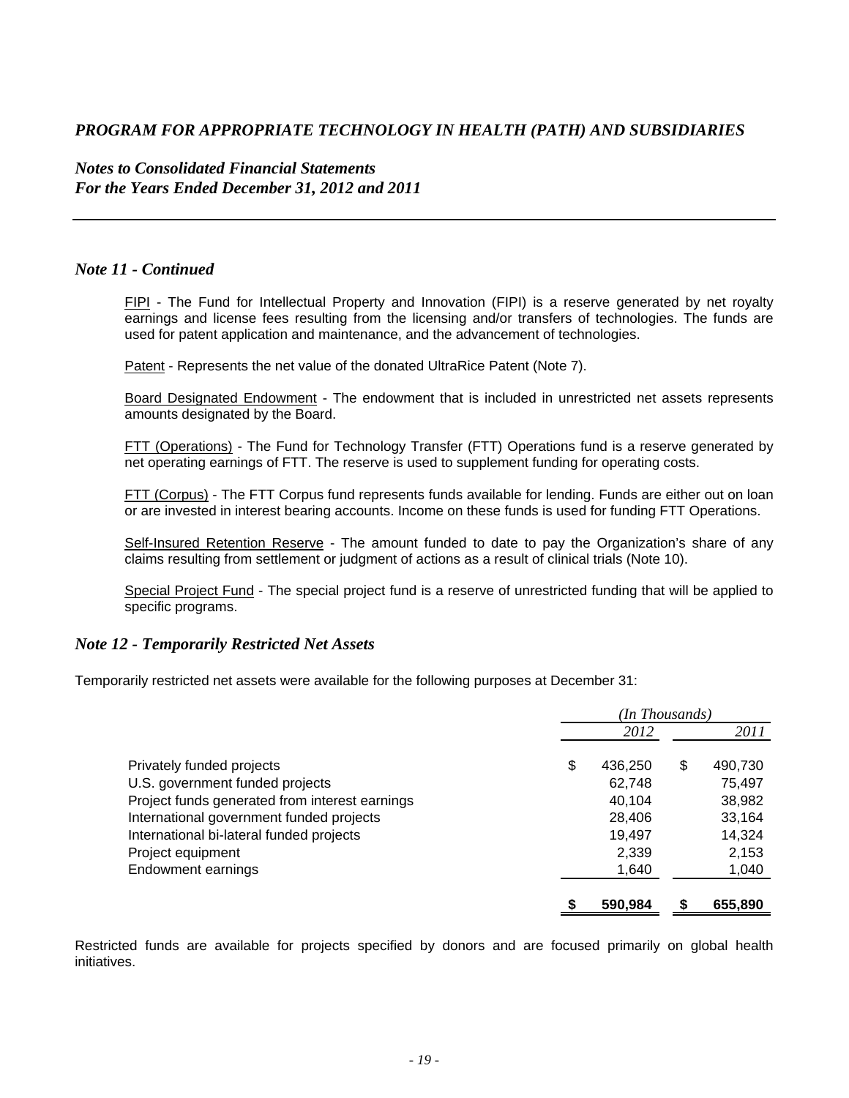*Notes to Consolidated Financial Statements For the Years Ended December 31, 2012 and 2011* 

#### *Note 11 - Continued*

FIPI - The Fund for Intellectual Property and Innovation (FIPI) is a reserve generated by net royalty earnings and license fees resulting from the licensing and/or transfers of technologies. The funds are used for patent application and maintenance, and the advancement of technologies.

Patent - Represents the net value of the donated UltraRice Patent (Note 7).

Board Designated Endowment - The endowment that is included in unrestricted net assets represents amounts designated by the Board.

FTT (Operations) - The Fund for Technology Transfer (FTT) Operations fund is a reserve generated by net operating earnings of FTT. The reserve is used to supplement funding for operating costs.

FTT (Corpus) - The FTT Corpus fund represents funds available for lending. Funds are either out on loan or are invested in interest bearing accounts. Income on these funds is used for funding FTT Operations.

Self-Insured Retention Reserve - The amount funded to date to pay the Organization's share of any claims resulting from settlement or judgment of actions as a result of clinical trials (Note 10).

Special Project Fund - The special project fund is a reserve of unrestricted funding that will be applied to specific programs.

#### *Note 12 - Temporarily Restricted Net Assets*

Temporarily restricted net assets were available for the following purposes at December 31:

|                                                | (In Thousands) |         |    |         |  |
|------------------------------------------------|----------------|---------|----|---------|--|
|                                                |                | 2012    |    | 2011    |  |
| Privately funded projects                      | \$             | 436,250 | \$ | 490,730 |  |
| U.S. government funded projects                |                | 62,748  |    | 75,497  |  |
| Project funds generated from interest earnings |                | 40.104  |    | 38,982  |  |
| International government funded projects       |                | 28,406  |    | 33,164  |  |
| International bi-lateral funded projects       |                | 19,497  |    | 14,324  |  |
| Project equipment                              |                | 2,339   |    | 2,153   |  |
| Endowment earnings                             |                | 1,640   |    | 1,040   |  |
|                                                |                | 590.984 | S  | 655,890 |  |

Restricted funds are available for projects specified by donors and are focused primarily on global health initiatives.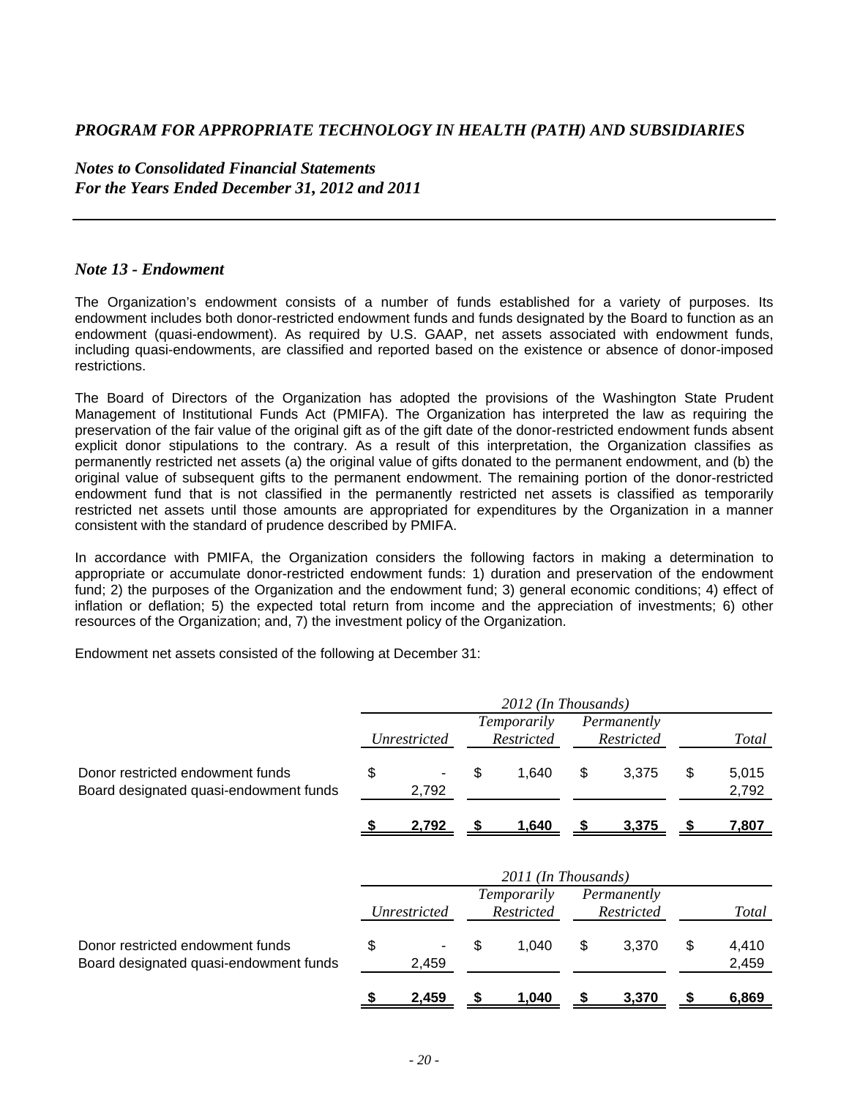*Notes to Consolidated Financial Statements For the Years Ended December 31, 2012 and 2011* 

#### *Note 13 - Endowment*

The Organization's endowment consists of a number of funds established for a variety of purposes. Its endowment includes both donor-restricted endowment funds and funds designated by the Board to function as an endowment (quasi-endowment). As required by U.S. GAAP, net assets associated with endowment funds, including quasi-endowments, are classified and reported based on the existence or absence of donor-imposed restrictions.

The Board of Directors of the Organization has adopted the provisions of the Washington State Prudent Management of Institutional Funds Act (PMIFA). The Organization has interpreted the law as requiring the preservation of the fair value of the original gift as of the gift date of the donor-restricted endowment funds absent explicit donor stipulations to the contrary. As a result of this interpretation, the Organization classifies as permanently restricted net assets (a) the original value of gifts donated to the permanent endowment, and (b) the original value of subsequent gifts to the permanent endowment. The remaining portion of the donor-restricted endowment fund that is not classified in the permanently restricted net assets is classified as temporarily restricted net assets until those amounts are appropriated for expenditures by the Organization in a manner consistent with the standard of prudence described by PMIFA.

In accordance with PMIFA, the Organization considers the following factors in making a determination to appropriate or accumulate donor-restricted endowment funds: 1) duration and preservation of the endowment fund; 2) the purposes of the Organization and the endowment fund; 3) general economic conditions; 4) effect of inflation or deflation; 5) the expected total return from income and the appreciation of investments; 6) other resources of the Organization; and, 7) the investment policy of the Organization.

Endowment net assets consisted of the following at December 31:

|                                                                            | 2012 (In Thousands) |              |    |                           |                       |                           |    |                |
|----------------------------------------------------------------------------|---------------------|--------------|----|---------------------------|-----------------------|---------------------------|----|----------------|
|                                                                            |                     | Unrestricted |    | Temporarily<br>Restricted |                       | Permanently<br>Restricted |    | Total          |
| Donor restricted endowment funds<br>Board designated quasi-endowment funds | \$                  | 2,792        | \$ | 1,640                     | \$                    | 3,375                     | \$ | 5,015<br>2,792 |
|                                                                            |                     | 2,792        |    | 1,640                     | $\mathbf{\mathsf{S}}$ | 3,375                     |    | 7,807          |
|                                                                            |                     |              |    | 2011 (In Thousands)       |                       |                           |    |                |
|                                                                            |                     | Unrestricted |    | Temporarily<br>Restricted |                       | Permanently<br>Restricted |    | Total          |
| Donor restricted endowment funds<br>Board designated quasi-endowment funds | \$                  | 2,459        | \$ | 1,040                     | \$                    | 3,370                     | \$ | 4,410<br>2,459 |
|                                                                            | 5                   | 2,459        | S  | 1,040                     | \$                    | 3,370                     | S  | 6,869          |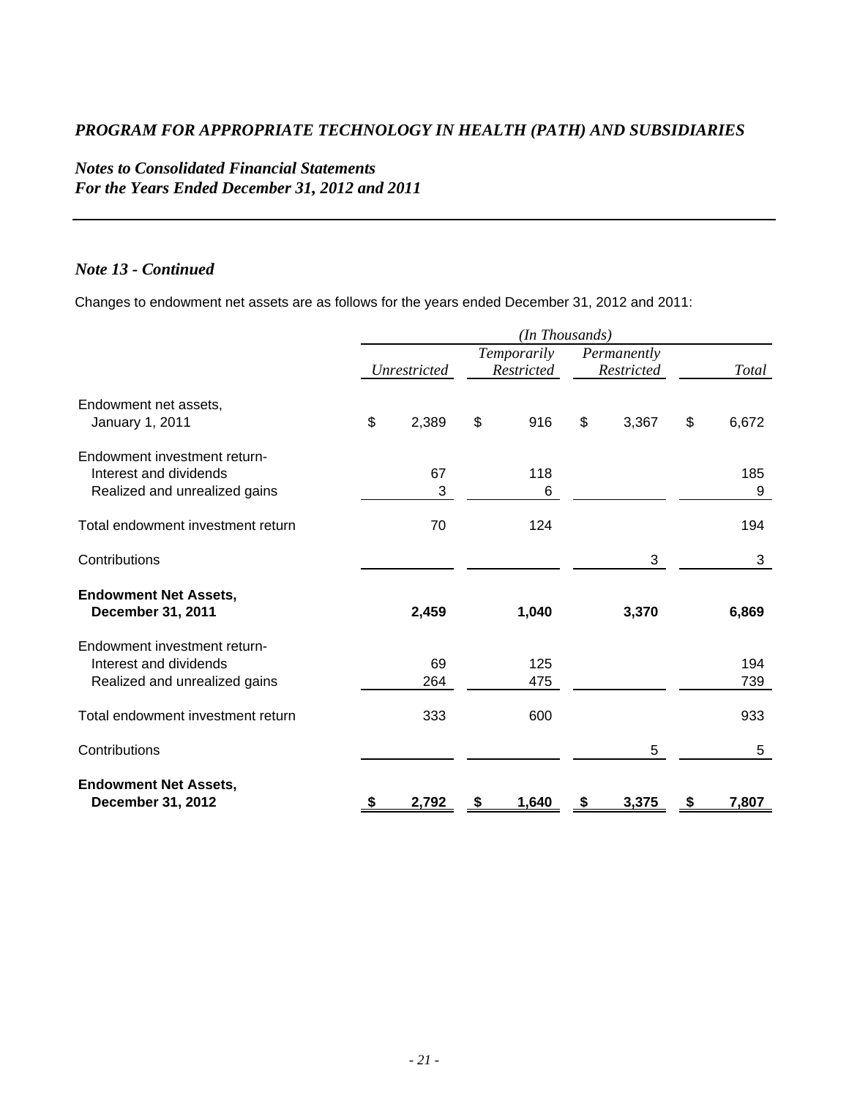## *Notes to Consolidated Financial Statements For the Years Ended December 31, 2012 and 2011*

## *Note 13 - Continued*

Changes to endowment net assets are as follows for the years ended December 31, 2012 and 2011:

|                                                                                         | (In Thousands) |              |    |                           |    |                           |    |            |
|-----------------------------------------------------------------------------------------|----------------|--------------|----|---------------------------|----|---------------------------|----|------------|
|                                                                                         |                | Unrestricted |    | Temporarily<br>Restricted |    | Permanently<br>Restricted |    | Total      |
| Endowment net assets,<br>January 1, 2011                                                | \$             | 2,389        | \$ | 916                       | \$ | 3,367                     | \$ | 6,672      |
| Endowment investment return-<br>Interest and dividends<br>Realized and unrealized gains |                | 67<br>3      |    | 118<br>6                  |    |                           |    | 185<br>9   |
| Total endowment investment return                                                       |                | 70           |    | 124                       |    |                           |    | 194        |
| Contributions                                                                           |                |              |    |                           |    | 3                         |    | 3          |
| <b>Endowment Net Assets,</b><br>December 31, 2011                                       |                | 2,459        |    | 1,040                     |    | 3,370                     |    | 6,869      |
| Endowment investment return-<br>Interest and dividends<br>Realized and unrealized gains |                | 69<br>264    |    | 125<br>475                |    |                           |    | 194<br>739 |
| Total endowment investment return                                                       |                | 333          |    | 600                       |    |                           |    | 933        |
| Contributions                                                                           |                |              |    |                           |    | 5                         |    | 5          |
| <b>Endowment Net Assets,</b><br>December 31, 2012                                       |                | 2,792        |    | 1,640                     | S  | 3,375                     |    | 7,807      |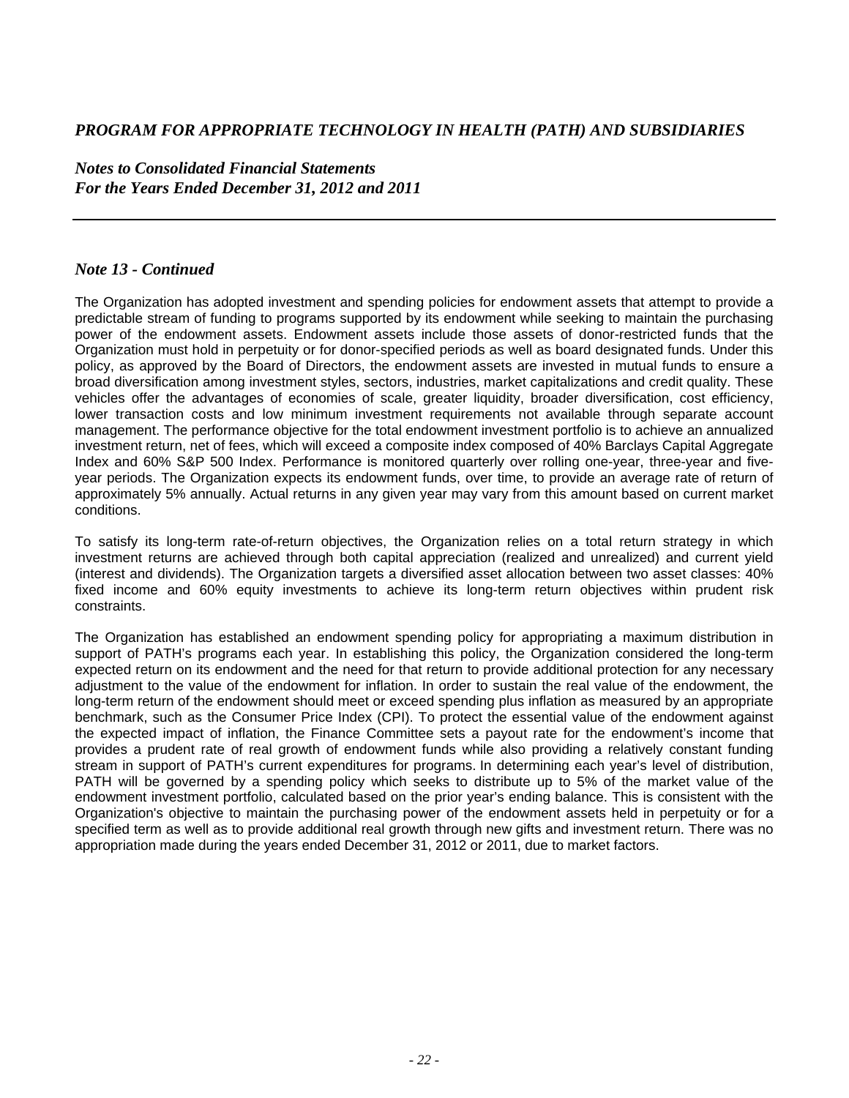*Notes to Consolidated Financial Statements For the Years Ended December 31, 2012 and 2011* 

#### *Note 13 - Continued*

The Organization has adopted investment and spending policies for endowment assets that attempt to provide a predictable stream of funding to programs supported by its endowment while seeking to maintain the purchasing power of the endowment assets. Endowment assets include those assets of donor-restricted funds that the Organization must hold in perpetuity or for donor-specified periods as well as board designated funds. Under this policy, as approved by the Board of Directors, the endowment assets are invested in mutual funds to ensure a broad diversification among investment styles, sectors, industries, market capitalizations and credit quality. These vehicles offer the advantages of economies of scale, greater liquidity, broader diversification, cost efficiency, lower transaction costs and low minimum investment requirements not available through separate account management. The performance objective for the total endowment investment portfolio is to achieve an annualized investment return, net of fees, which will exceed a composite index composed of 40% Barclays Capital Aggregate Index and 60% S&P 500 Index. Performance is monitored quarterly over rolling one-year, three-year and fiveyear periods. The Organization expects its endowment funds, over time, to provide an average rate of return of approximately 5% annually. Actual returns in any given year may vary from this amount based on current market conditions.

To satisfy its long-term rate-of-return objectives, the Organization relies on a total return strategy in which investment returns are achieved through both capital appreciation (realized and unrealized) and current yield (interest and dividends). The Organization targets a diversified asset allocation between two asset classes: 40% fixed income and 60% equity investments to achieve its long-term return objectives within prudent risk constraints.

The Organization has established an endowment spending policy for appropriating a maximum distribution in support of PATH's programs each year. In establishing this policy, the Organization considered the long-term expected return on its endowment and the need for that return to provide additional protection for any necessary adjustment to the value of the endowment for inflation. In order to sustain the real value of the endowment, the long-term return of the endowment should meet or exceed spending plus inflation as measured by an appropriate benchmark, such as the Consumer Price Index (CPI). To protect the essential value of the endowment against the expected impact of inflation, the Finance Committee sets a payout rate for the endowment's income that provides a prudent rate of real growth of endowment funds while also providing a relatively constant funding stream in support of PATH's current expenditures for programs. In determining each year's level of distribution, PATH will be governed by a spending policy which seeks to distribute up to 5% of the market value of the endowment investment portfolio, calculated based on the prior year's ending balance. This is consistent with the Organization's objective to maintain the purchasing power of the endowment assets held in perpetuity or for a specified term as well as to provide additional real growth through new gifts and investment return. There was no appropriation made during the years ended December 31, 2012 or 2011, due to market factors.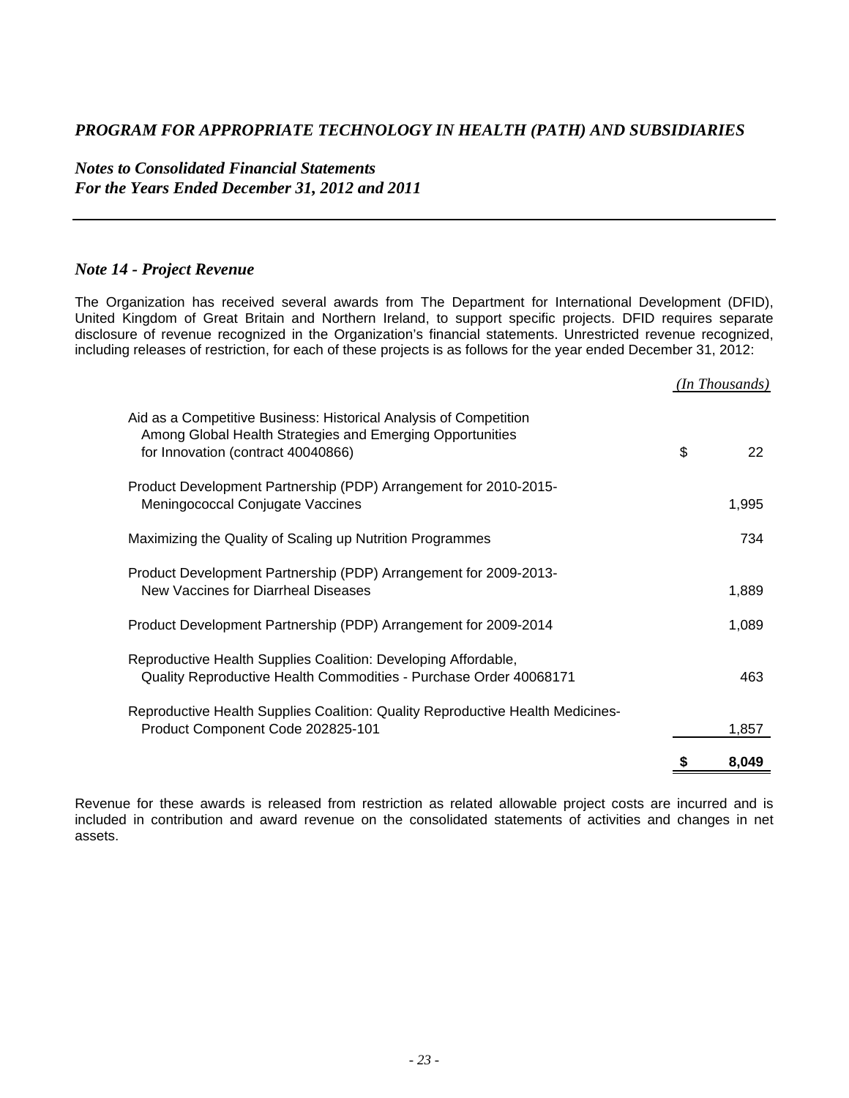*Notes to Consolidated Financial Statements For the Years Ended December 31, 2012 and 2011* 

#### *Note 14 - Project Revenue*

The Organization has received several awards from The Department for International Development (DFID), United Kingdom of Great Britain and Northern Ireland, to support specific projects. DFID requires separate disclosure of revenue recognized in the Organization's financial statements. Unrestricted revenue recognized, including releases of restriction, for each of these projects is as follows for the year ended December 31, 2012:

|                                                                                                                                                                      | (In Thousands) |
|----------------------------------------------------------------------------------------------------------------------------------------------------------------------|----------------|
| Aid as a Competitive Business: Historical Analysis of Competition<br>Among Global Health Strategies and Emerging Opportunities<br>for Innovation (contract 40040866) | \$<br>22       |
| Product Development Partnership (PDP) Arrangement for 2010-2015-<br>Meningococcal Conjugate Vaccines                                                                 | 1,995          |
| Maximizing the Quality of Scaling up Nutrition Programmes                                                                                                            | 734            |
| Product Development Partnership (PDP) Arrangement for 2009-2013-<br>New Vaccines for Diarrheal Diseases                                                              | 1,889          |
| Product Development Partnership (PDP) Arrangement for 2009-2014                                                                                                      | 1,089          |
| Reproductive Health Supplies Coalition: Developing Affordable,<br>Quality Reproductive Health Commodities - Purchase Order 40068171                                  | 463            |
| Reproductive Health Supplies Coalition: Quality Reproductive Health Medicines-<br>Product Component Code 202825-101                                                  | 1,857          |
|                                                                                                                                                                      | 8,049          |

Revenue for these awards is released from restriction as related allowable project costs are incurred and is included in contribution and award revenue on the consolidated statements of activities and changes in net assets.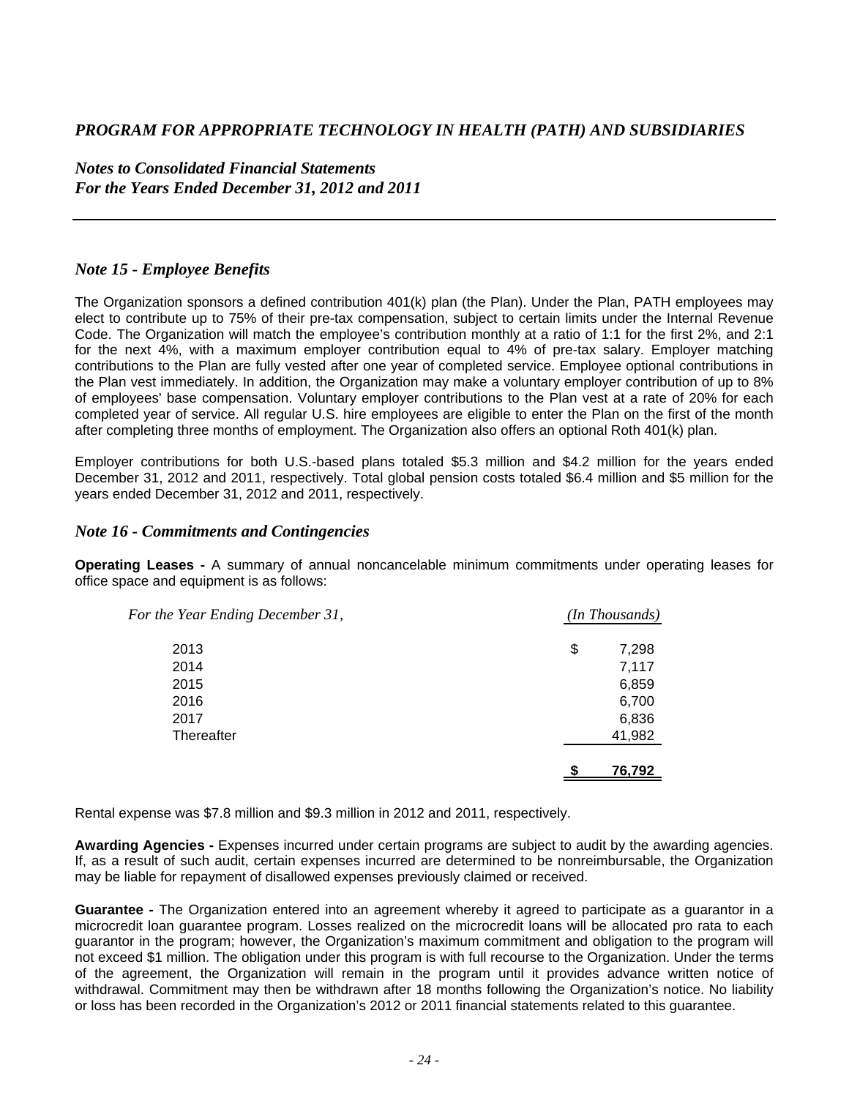*Notes to Consolidated Financial Statements For the Years Ended December 31, 2012 and 2011* 

#### *Note 15 - Employee Benefits*

The Organization sponsors a defined contribution 401(k) plan (the Plan). Under the Plan, PATH employees may elect to contribute up to 75% of their pre-tax compensation, subject to certain limits under the Internal Revenue Code. The Organization will match the employee's contribution monthly at a ratio of 1:1 for the first 2%, and 2:1 for the next 4%, with a maximum employer contribution equal to 4% of pre-tax salary. Employer matching contributions to the Plan are fully vested after one year of completed service. Employee optional contributions in the Plan vest immediately. In addition, the Organization may make a voluntary employer contribution of up to 8% of employees' base compensation. Voluntary employer contributions to the Plan vest at a rate of 20% for each completed year of service. All regular U.S. hire employees are eligible to enter the Plan on the first of the month after completing three months of employment. The Organization also offers an optional Roth 401(k) plan.

Employer contributions for both U.S.-based plans totaled \$5.3 million and \$4.2 million for the years ended December 31, 2012 and 2011, respectively. Total global pension costs totaled \$6.4 million and \$5 million for the years ended December 31, 2012 and 2011, respectively.

#### *Note 16 - Commitments and Contingencies*

**Operating Leases -** A summary of annual noncancelable minimum commitments under operating leases for office space and equipment is as follows:

| For the Year Ending December 31, | (In Thousands) |
|----------------------------------|----------------|
| 2013                             | \$<br>7,298    |
| 2014                             | 7,117          |
| 2015                             | 6,859          |
| 2016                             | 6,700          |
| 2017                             | 6,836          |
| Thereafter                       | 41,982         |
|                                  | 76,792         |

Rental expense was \$7.8 million and \$9.3 million in 2012 and 2011, respectively.

**Awarding Agencies -** Expenses incurred under certain programs are subject to audit by the awarding agencies. If, as a result of such audit, certain expenses incurred are determined to be nonreimbursable, the Organization may be liable for repayment of disallowed expenses previously claimed or received.

**Guarantee -** The Organization entered into an agreement whereby it agreed to participate as a guarantor in a microcredit loan guarantee program. Losses realized on the microcredit loans will be allocated pro rata to each guarantor in the program; however, the Organization's maximum commitment and obligation to the program will not exceed \$1 million. The obligation under this program is with full recourse to the Organization. Under the terms of the agreement, the Organization will remain in the program until it provides advance written notice of withdrawal. Commitment may then be withdrawn after 18 months following the Organization's notice. No liability or loss has been recorded in the Organization's 2012 or 2011 financial statements related to this guarantee.